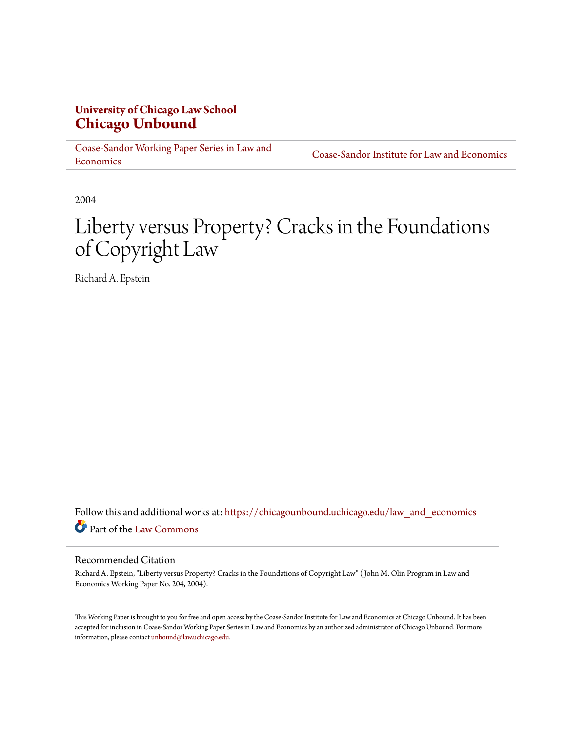# **University of Chicago Law School [Chicago Unbound](https://chicagounbound.uchicago.edu?utm_source=chicagounbound.uchicago.edu%2Flaw_and_economics%2F309&utm_medium=PDF&utm_campaign=PDFCoverPages)**

[Coase-Sandor Working Paper Series in Law and](https://chicagounbound.uchicago.edu/law_and_economics?utm_source=chicagounbound.uchicago.edu%2Flaw_and_economics%2F309&utm_medium=PDF&utm_campaign=PDFCoverPages) [Economics](https://chicagounbound.uchicago.edu/law_and_economics?utm_source=chicagounbound.uchicago.edu%2Flaw_and_economics%2F309&utm_medium=PDF&utm_campaign=PDFCoverPages)

[Coase-Sandor Institute for Law and Economics](https://chicagounbound.uchicago.edu/coase_sandor_institute?utm_source=chicagounbound.uchicago.edu%2Flaw_and_economics%2F309&utm_medium=PDF&utm_campaign=PDFCoverPages)

2004

# Liberty versus Property? Cracks in the Foundations of Copyright Law

Richard A. Epstein

Follow this and additional works at: [https://chicagounbound.uchicago.edu/law\\_and\\_economics](https://chicagounbound.uchicago.edu/law_and_economics?utm_source=chicagounbound.uchicago.edu%2Flaw_and_economics%2F309&utm_medium=PDF&utm_campaign=PDFCoverPages) Part of the [Law Commons](http://network.bepress.com/hgg/discipline/578?utm_source=chicagounbound.uchicago.edu%2Flaw_and_economics%2F309&utm_medium=PDF&utm_campaign=PDFCoverPages)

#### Recommended Citation

Richard A. Epstein, "Liberty versus Property? Cracks in the Foundations of Copyright Law" ( John M. Olin Program in Law and Economics Working Paper No. 204, 2004).

This Working Paper is brought to you for free and open access by the Coase-Sandor Institute for Law and Economics at Chicago Unbound. It has been accepted for inclusion in Coase-Sandor Working Paper Series in Law and Economics by an authorized administrator of Chicago Unbound. For more information, please contact [unbound@law.uchicago.edu.](mailto:unbound@law.uchicago.edu)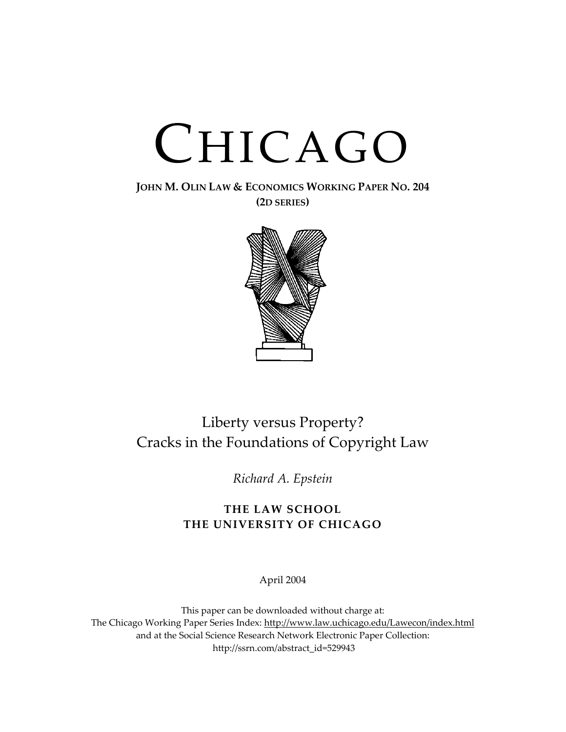# CHICAGO

**JOHN M. OLIN LAW & ECONOMICS WORKING PAPER NO. 204 (2D SERIES)**



# Liberty versus Property? Cracks in the Foundations of Copyright Law

*Richard A. Epstein*

# **THE LAW SCHOOL THE UNIVERSITY OF CHICAGO**

April 2004

This paper can be downloaded without charge at: The Chicago Working Paper Series Index: [http://www.law.uchicago.edu/Lawecon/index.html](http://www.law.uchicago.edu/Publications/Working/index.html) and at the Social Science Research Network Electronic Paper Collection: [http://ssrn.com/abstract\\_id=529943](http://papers.ssrn.com/sol3/search.taf)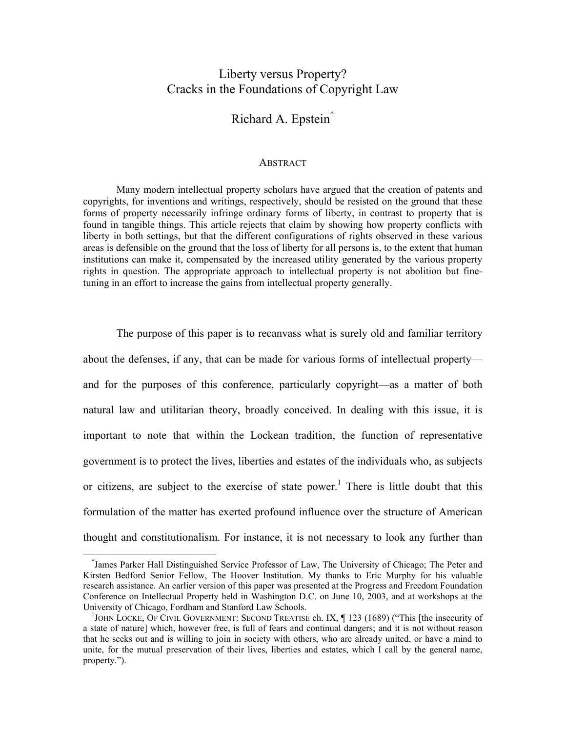### Liberty versus Property? Cracks in the Foundations of Copyright Law

# Richard A. Epstein[\\*](#page-2-0)

#### **ABSTRACT**

Many modern intellectual property scholars have argued that the creation of patents and copyrights, for inventions and writings, respectively, should be resisted on the ground that these forms of property necessarily infringe ordinary forms of liberty, in contrast to property that is found in tangible things. This article rejects that claim by showing how property conflicts with liberty in both settings, but that the different configurations of rights observed in these various areas is defensible on the ground that the loss of liberty for all persons is, to the extent that human institutions can make it, compensated by the increased utility generated by the various property rights in question. The appropriate approach to intellectual property is not abolition but finetuning in an effort to increase the gains from intellectual property generally.

The purpose of this paper is to recanvass what is surely old and familiar territory about the defenses, if any, that can be made for various forms of intellectual property and for the purposes of this conference, particularly copyright—as a matter of both natural law and utilitarian theory, broadly conceived. In dealing with this issue, it is important to note that within the Lockean tradition, the function of representative government is to protect the lives, liberties and estates of the individuals who, as subjects or citizens, are subject to the exercise of state power.<sup>1</sup> There is little doubt that this formulation of the matter has exerted profound influence over the structure of American thought and constitutionalism. For instance, it is not necessary to look any further than

<span id="page-2-0"></span> <sup>\*</sup> James Parker Hall Distinguished Service Professor of Law, The University of Chicago; The Peter and Kirsten Bedford Senior Fellow, The Hoover Institution. My thanks to Eric Murphy for his valuable research assistance. An earlier version of this paper was presented at the Progress and Freedom Foundation Conference on Intellectual Property held in Washington D.C. on June 10, 2003, and at workshops at the University of Chicago, Fordham and Stanford Law Schools. 1

<span id="page-2-1"></span><sup>&</sup>lt;sup>1</sup>JOHN LOCKE, OF CIVIL GOVERNMENT: SECOND TREATISE ch. IX,  $\parallel$  123 (1689) ("This [the insecurity of a state of nature] which, however free, is full of fears and continual dangers; and it is not without reason that he seeks out and is willing to join in society with others, who are already united, or have a mind to unite, for the mutual preservation of their lives, liberties and estates, which I call by the general name, property.").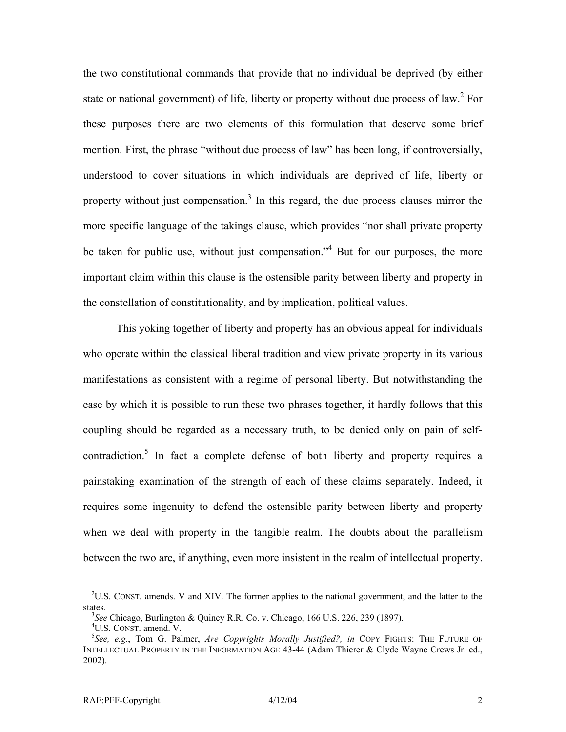the two constitutional commands that provide that no individual be deprived (by either stateor national government) of life, liberty or property without due process of law.<sup>2</sup> For these purposes there are two elements of this formulation that deserve some brief mention. First, the phrase "without due process of law" has been long, if controversially, understood to cover situations in which individuals are deprived of life, liberty or property without just compensation.<sup>[3](#page-3-1)</sup> In this regard, the due process clauses mirror the more specific language of the takings clause, which provides "nor shall private property be taken for public use, without just compensation."<sup>[4](#page-3-2)</sup> But for our purposes, the more important claim within this clause is the ostensible parity between liberty and property in the constellation of constitutionality, and by implication, political values.

This yoking together of liberty and property has an obvious appeal for individuals who operate within the classical liberal tradition and view private property in its various manifestations as consistent with a regime of personal liberty. But notwithstanding the ease by which it is possible to run these two phrases together, it hardly follows that this coupling should be regarded as a necessary truth, to be denied only on pain of selfcontradiction.<sup>5</sup> In fact a complete defense of both liberty and property requires a painstaking examination of the strength of each of these claims separately. Indeed, it requires some ingenuity to defend the ostensible parity between liberty and property when we deal with property in the tangible realm. The doubts about the parallelism between the two are, if anything, even more insistent in the realm of intellectual property.

<span id="page-3-0"></span><sup>&</sup>lt;sup>2</sup>U.S. CONST. amends. V and XIV. The former applies to the national government, and the latter to the states.

<span id="page-3-1"></span>*See* Chicago, Burlington & Quincy R.R. Co. v. Chicago, 166 U.S. 226, 239 (1897). 4

<span id="page-3-3"></span><span id="page-3-2"></span><sup>&</sup>lt;sup>4</sup>U.S. CONST. amend. V.

*See, e.g.*, Tom G. Palmer, *Are Copyrights Morally Justified?, in* COPY FIGHTS: THE FUTURE OF INTELLECTUAL PROPERTY IN THE INFORMATION AGE 43-44 (Adam Thierer & Clyde Wayne Crews Jr. ed., 2002).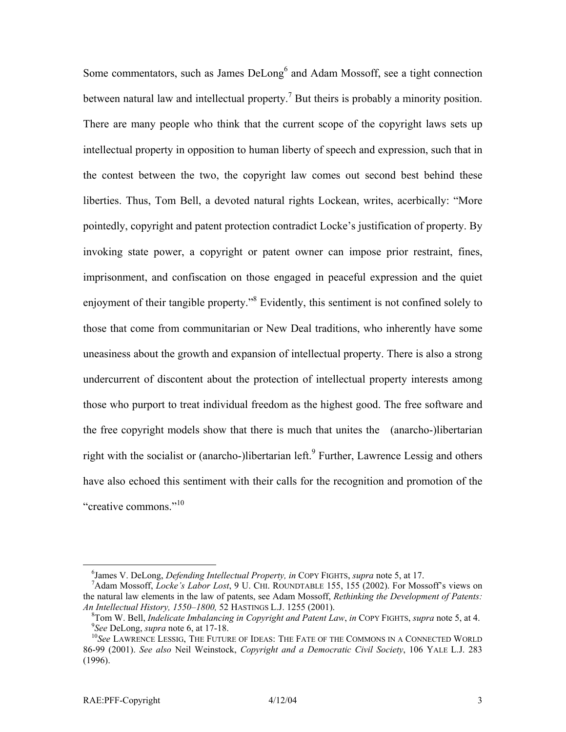Some commentators, such as James DeLong<sup>[6](#page-4-0)</sup> and Adam Mossoff, see a tight connection between natural law and intellectual property.<sup>[7](#page-4-1)</sup> But theirs is probably a minority position. There are many people who think that the current scope of the copyright laws sets up intellectual property in opposition to human liberty of speech and expression, such that in the contest between the two, the copyright law comes out second best behind these liberties. Thus, Tom Bell, a devoted natural rights Lockean, writes, acerbically: "More pointedly, copyright and patent protection contradict Locke's justification of property. By invoking state power, a copyright or patent owner can impose prior restraint, fines, imprisonment, and confiscation on those engaged in peaceful expression and the quiet enjoyment of their tangible property."<sup>[8](#page-4-2)</sup> Evidently, this sentiment is not confined solely to those that come from communitarian or New Deal traditions, who inherently have some uneasiness about the growth and expansion of intellectual property. There is also a strong undercurrent of discontent about the protection of intellectual property interests among those who purport to treat individual freedom as the highest good. The free software and the free copyright models show that there is much that unites the (anarcho-)libertarian right with the socialist or (anarcho-)libertarian left.<sup>[9](#page-4-3)</sup> Further, Lawrence Lessig and others have also echoed this sentiment with their calls for the recognition and promotion of the "creative commons."<sup>10</sup>

<span id="page-4-0"></span> $\overline{\phantom{0}}$ <sup>6</sup>James V. DeLong, *Defending Intellectual Property, in* COPY FIGHTS, *supra* note 5, at 17.<br><sup>7</sup>A dam Massoff, Laska's Labor Last, 0 U. CUL BOUNDTADUE 155, 155 (2002). For Mass

<span id="page-4-1"></span>Adam Mossoff, *Locke's Labor Lost*, 9 U. CHI. ROUNDTABLE 155, 155 (2002). For Mossoff's views on the natural law elements in the law of patents, see Adam Mossoff, *Rethinking the Development of Patents: An Intellectual History, 1550–1800,* 52 HASTINGS L.J. 1255 (2001). 8

<span id="page-4-3"></span><span id="page-4-2"></span><sup>&</sup>lt;sup>8</sup>Tom W. Bell, *Indelicate Imbalancing in Copyright and Patent Law*, *in* COPY FIGHTS, *supra* note 5, at 4. 9See DeLong, *supra* note 6, at 17-18.

<span id="page-4-4"></span><sup>&</sup>lt;sup>10</sup>See LAWRENCE LESSIG, THE FUTURE OF IDEAS: THE FATE OF THE COMMONS IN A CONNECTED WORLD 86-99 (2001). *See also* Neil Weinstock, *Copyright and a Democratic Civil Society*, 106 YALE L.J. 283 (1996).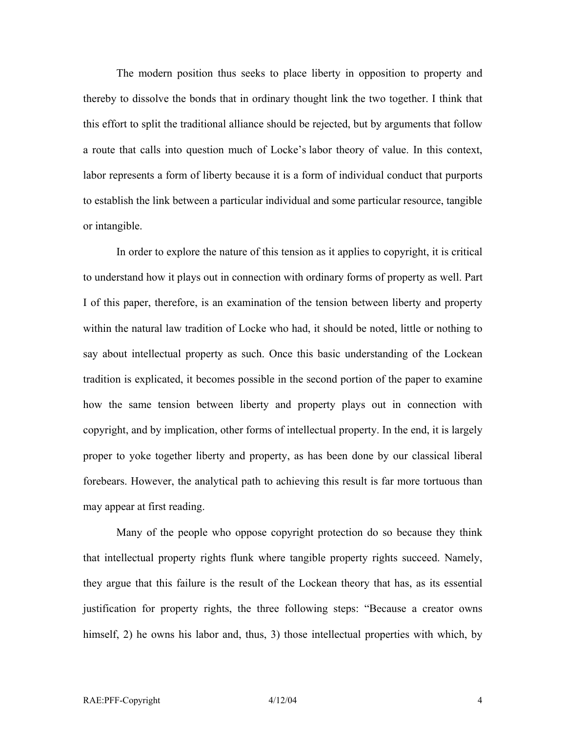The modern position thus seeks to place liberty in opposition to property and thereby to dissolve the bonds that in ordinary thought link the two together. I think that this effort to split the traditional alliance should be rejected, but by arguments that follow a route that calls into question much of Locke's labor theory of value. In this context, labor represents a form of liberty because it is a form of individual conduct that purports to establish the link between a particular individual and some particular resource, tangible or intangible.

In order to explore the nature of this tension as it applies to copyright, it is critical to understand how it plays out in connection with ordinary forms of property as well. Part I of this paper, therefore, is an examination of the tension between liberty and property within the natural law tradition of Locke who had, it should be noted, little or nothing to say about intellectual property as such. Once this basic understanding of the Lockean tradition is explicated, it becomes possible in the second portion of the paper to examine how the same tension between liberty and property plays out in connection with copyright, and by implication, other forms of intellectual property. In the end, it is largely proper to yoke together liberty and property, as has been done by our classical liberal forebears. However, the analytical path to achieving this result is far more tortuous than may appear at first reading.

Many of the people who oppose copyright protection do so because they think that intellectual property rights flunk where tangible property rights succeed. Namely, they argue that this failure is the result of the Lockean theory that has, as its essential justification for property rights, the three following steps: "Because a creator owns himself, 2) he owns his labor and, thus, 3) those intellectual properties with which, by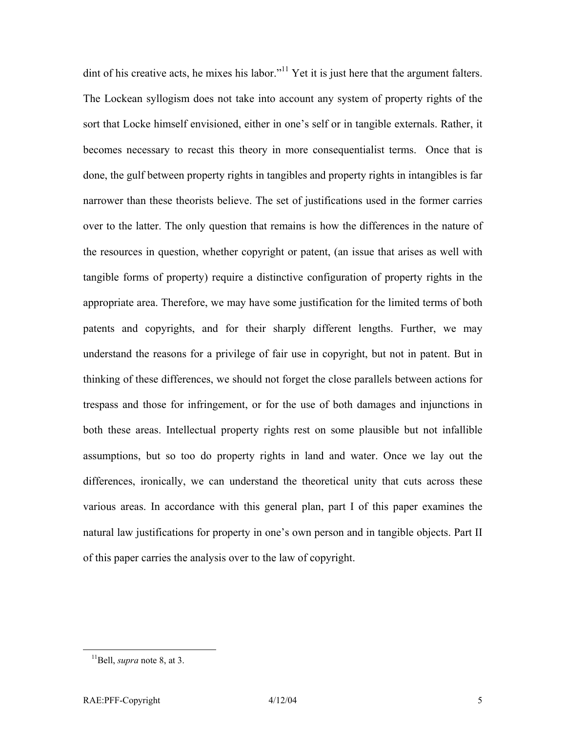dint of his creative acts, he mixes his labor."<sup>11</sup> Yet it is just here that the argument falters. The Lockean syllogism does not take into account any system of property rights of the sort that Locke himself envisioned, either in one's self or in tangible externals. Rather, it becomes necessary to recast this theory in more consequentialist terms. Once that is done, the gulf between property rights in tangibles and property rights in intangibles is far narrower than these theorists believe. The set of justifications used in the former carries over to the latter. The only question that remains is how the differences in the nature of the resources in question, whether copyright or patent, (an issue that arises as well with tangible forms of property) require a distinctive configuration of property rights in the appropriate area. Therefore, we may have some justification for the limited terms of both patents and copyrights, and for their sharply different lengths. Further, we may understand the reasons for a privilege of fair use in copyright, but not in patent. But in thinking of these differences, we should not forget the close parallels between actions for trespass and those for infringement, or for the use of both damages and injunctions in both these areas. Intellectual property rights rest on some plausible but not infallible assumptions, but so too do property rights in land and water. Once we lay out the differences, ironically, we can understand the theoretical unity that cuts across these various areas. In accordance with this general plan, part I of this paper examines the natural law justifications for property in one's own person and in tangible objects. Part II of this paper carries the analysis over to the law of copyright.

<span id="page-6-0"></span> <sup>11</sup>Bell, *supra* note 8, at 3.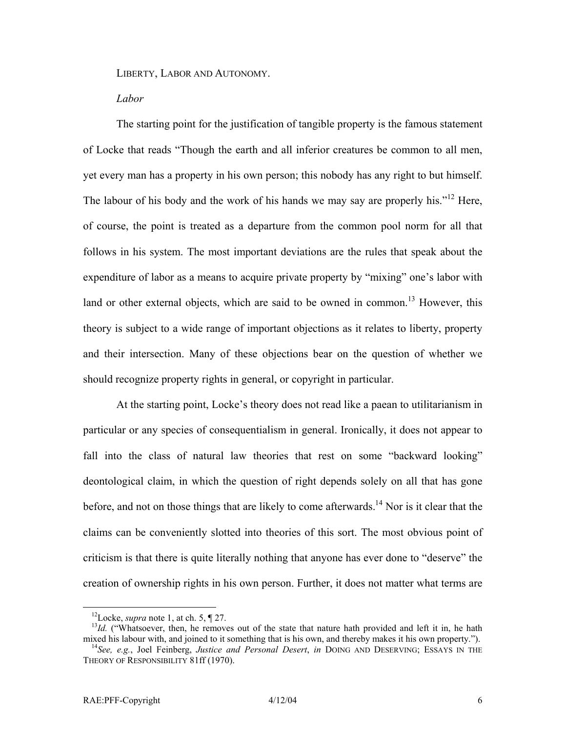LIBERTY, LABOR AND AUTONOMY.

#### *Labor*

The starting point for the justification of tangible property is the famous statement of Locke that reads "Though the earth and all inferior creatures be common to all men, yet every man has a property in his own person; this nobody has any right to but himself. The labour of his body and the work of his hands we may say are properly his."<sup>12</sup> Here, of course, the point is treated as a departure from the common pool norm for all that follows in his system. The most important deviations are the rules that speak about the expenditure of labor as a means to acquire private property by "mixing" one's labor with land or other external objects, which are said to be owned in common.<sup>13</sup> However, this theory is subject to a wide range of important objections as it relates to liberty, property and their intersection. Many of these objections bear on the question of whether we should recognize property rights in general, or copyright in particular.

At the starting point, Locke's theory does not read like a paean to utilitarianism in particular or any species of consequentialism in general. Ironically, it does not appear to fall into the class of natural law theories that rest on some "backward looking" deontological claim, in which the question of right depends solely on all that has gone before, and not on those things that are likely to come afterwards.<sup>14</sup> Nor is it clear that the claims can be conveniently slotted into theories of this sort. The most obvious point of criticism is that there is quite literally nothing that anyone has ever done to "deserve" the creation of ownership rights in his own person. Further, it does not matter what terms are

<span id="page-7-1"></span><span id="page-7-0"></span>

<sup>&</sup>lt;sup>12</sup>Locke, *supra* note 1, at ch. 5, ¶ 27.<br><sup>13</sup>*Id.* ("Whatsoever, then, he removes out of the state that nature hath provided and left it in, he hath mixed his labour with, and joined to it something that is his own, and

<span id="page-7-2"></span><sup>&</sup>lt;sup>14</sup>See, e.g., Joel Feinberg, *Justice and Personal Desert*, *in* DOING AND DESERVING; ESSAYS IN THE THEORY OF RESPONSIBILITY 81ff (1970).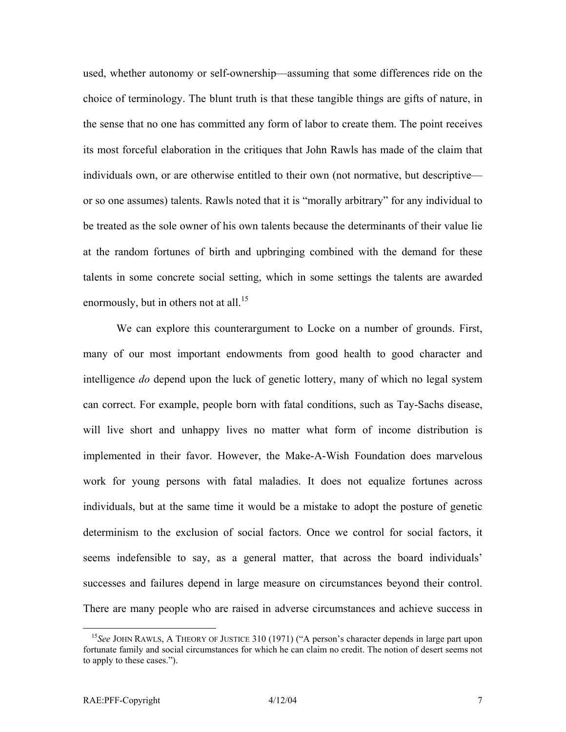used, whether autonomy or self-ownership—assuming that some differences ride on the choice of terminology. The blunt truth is that these tangible things are gifts of nature, in the sense that no one has committed any form of labor to create them. The point receives its most forceful elaboration in the critiques that John Rawls has made of the claim that individuals own, or are otherwise entitled to their own (not normative, but descriptive or so one assumes) talents. Rawls noted that it is "morally arbitrary" for any individual to be treated as the sole owner of his own talents because the determinants of their value lie at the random fortunes of birth and upbringing combined with the demand for these talents in some concrete social setting, which in some settings the talents are awarded enormously, but in others not at all.<sup>15</sup>

We can explore this counterargument to Locke on a number of grounds. First, many of our most important endowments from good health to good character and intelligence *do* depend upon the luck of genetic lottery, many of which no legal system can correct. For example, people born with fatal conditions, such as Tay-Sachs disease, will live short and unhappy lives no matter what form of income distribution is implemented in their favor. However, the Make-A-Wish Foundation does marvelous work for young persons with fatal maladies. It does not equalize fortunes across individuals, but at the same time it would be a mistake to adopt the posture of genetic determinism to the exclusion of social factors. Once we control for social factors, it seems indefensible to say, as a general matter, that across the board individuals' successes and failures depend in large measure on circumstances beyond their control. There are many people who are raised in adverse circumstances and achieve success in

<span id="page-8-0"></span><sup>&</sup>lt;sup>15</sup>See JOHN RAWLS, A THEORY OF JUSTICE 310 (1971) ("A person's character depends in large part upon fortunate family and social circumstances for which he can claim no credit. The notion of desert seems not to apply to these cases.").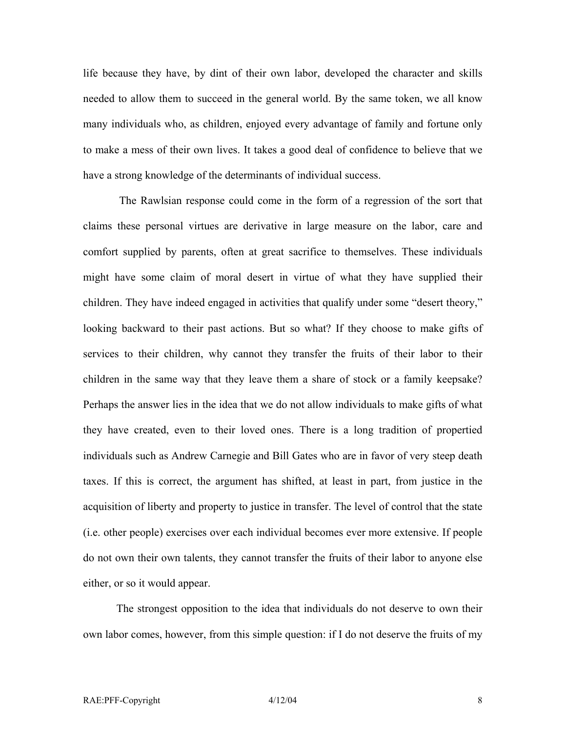life because they have, by dint of their own labor, developed the character and skills needed to allow them to succeed in the general world. By the same token, we all know many individuals who, as children, enjoyed every advantage of family and fortune only to make a mess of their own lives. It takes a good deal of confidence to believe that we have a strong knowledge of the determinants of individual success.

The Rawlsian response could come in the form of a regression of the sort that claims these personal virtues are derivative in large measure on the labor, care and comfort supplied by parents, often at great sacrifice to themselves. These individuals might have some claim of moral desert in virtue of what they have supplied their children. They have indeed engaged in activities that qualify under some "desert theory," looking backward to their past actions. But so what? If they choose to make gifts of services to their children, why cannot they transfer the fruits of their labor to their children in the same way that they leave them a share of stock or a family keepsake? Perhaps the answer lies in the idea that we do not allow individuals to make gifts of what they have created, even to their loved ones. There is a long tradition of propertied individuals such as Andrew Carnegie and Bill Gates who are in favor of very steep death taxes. If this is correct, the argument has shifted, at least in part, from justice in the acquisition of liberty and property to justice in transfer. The level of control that the state (i.e. other people) exercises over each individual becomes ever more extensive. If people do not own their own talents, they cannot transfer the fruits of their labor to anyone else either, or so it would appear.

The strongest opposition to the idea that individuals do not deserve to own their own labor comes, however, from this simple question: if I do not deserve the fruits of my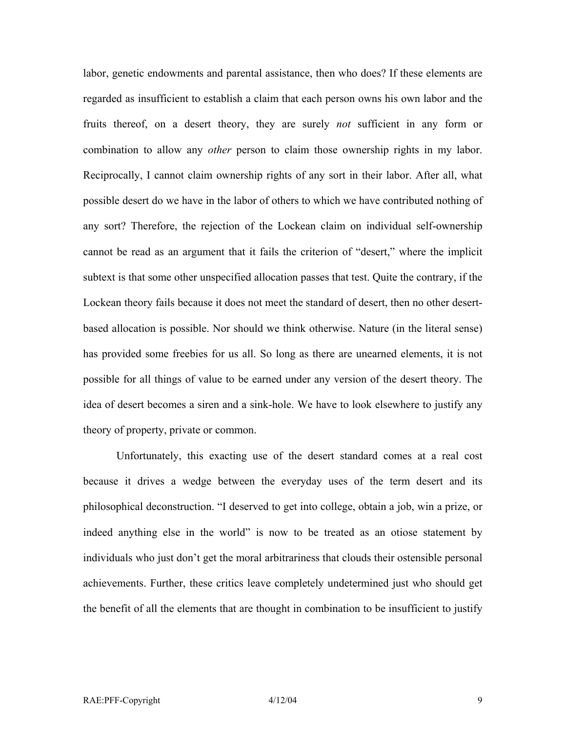labor, genetic endowments and parental assistance, then who does? If these elements are regarded as insufficient to establish a claim that each person owns his own labor and the fruits thereof, on a desert theory, they are surely *not* sufficient in any form or combination to allow any *other* person to claim those ownership rights in my labor. Reciprocally, I cannot claim ownership rights of any sort in their labor. After all, what possible desert do we have in the labor of others to which we have contributed nothing of any sort? Therefore, the rejection of the Lockean claim on individual self-ownership cannot be read as an argument that it fails the criterion of "desert," where the implicit subtext is that some other unspecified allocation passes that test. Quite the contrary, if the Lockean theory fails because it does not meet the standard of desert, then no other desertbased allocation is possible. Nor should we think otherwise. Nature (in the literal sense) has provided some freebies for us all. So long as there are unearned elements, it is not possible for all things of value to be earned under any version of the desert theory. The idea of desert becomes a siren and a sink-hole. We have to look elsewhere to justify any theory of property, private or common.

Unfortunately, this exacting use of the desert standard comes at a real cost because it drives a wedge between the everyday uses of the term desert and its philosophical deconstruction. "I deserved to get into college, obtain a job, win a prize, or indeed anything else in the world" is now to be treated as an otiose statement by individuals who just don't get the moral arbitrariness that clouds their ostensible personal achievements. Further, these critics leave completely undetermined just who should get the benefit of all the elements that are thought in combination to be insufficient to justify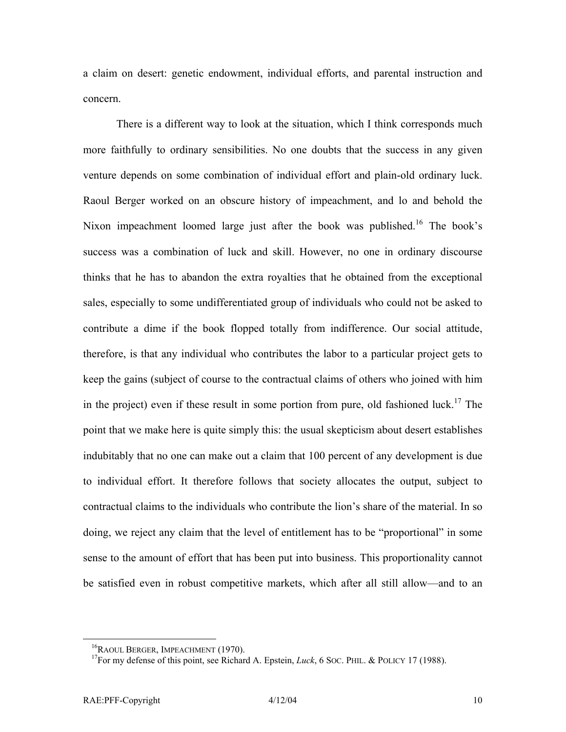a claim on desert: genetic endowment, individual efforts, and parental instruction and concern.

There is a different way to look at the situation, which I think corresponds much more faithfully to ordinary sensibilities. No one doubts that the success in any given venture depends on some combination of individual effort and plain-old ordinary luck. Raoul Berger worked on an obscure history of impeachment, and lo and behold the Nixon impeachment loomed large just after the book was published.<sup>16</sup> The book's success was a combination of luck and skill. However, no one in ordinary discourse thinks that he has to abandon the extra royalties that he obtained from the exceptional sales, especially to some undifferentiated group of individuals who could not be asked to contribute a dime if the book flopped totally from indifference. Our social attitude, therefore, is that any individual who contributes the labor to a particular project gets to keep the gains (subject of course to the contractual claims of others who joined with him in the project) even if these result in some portion from pure, old fashioned luck.<sup>17</sup> The point that we make here is quite simply this: the usual skepticism about desert establishes indubitably that no one can make out a claim that 100 percent of any development is due to individual effort. It therefore follows that society allocates the output, subject to contractual claims to the individuals who contribute the lion's share of the material. In so doing, we reject any claim that the level of entitlement has to be "proportional" in some sense to the amount of effort that has been put into business. This proportionality cannot be satisfied even in robust competitive markets, which after all still allow—and to an

<span id="page-11-1"></span>

<span id="page-11-0"></span><sup>&</sup>lt;sup>16</sup>RAOUL BERGER, IMPEACHMENT (1970).<br><sup>17</sup>For my defense of this point, see Richard A. Epstein, *Luck*, 6 SOC. PHIL. & POLICY 17 (1988).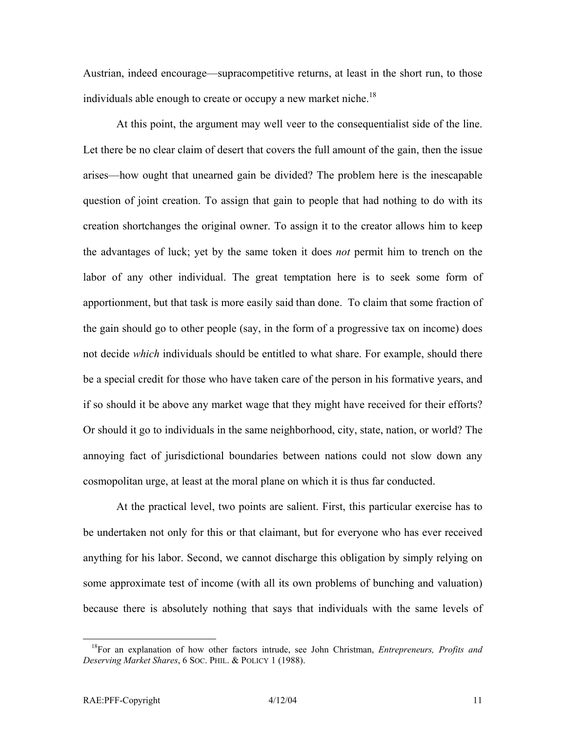Austrian, indeed encourage—supracompetitive returns, at least in the short run, to those individuals able enough to create or occupy a new market niche.<sup>18</sup>

At this point, the argument may well veer to the consequentialist side of the line. Let there be no clear claim of desert that covers the full amount of the gain, then the issue arises—how ought that unearned gain be divided? The problem here is the inescapable question of joint creation. To assign that gain to people that had nothing to do with its creation shortchanges the original owner. To assign it to the creator allows him to keep the advantages of luck; yet by the same token it does *not* permit him to trench on the labor of any other individual. The great temptation here is to seek some form of apportionment, but that task is more easily said than done. To claim that some fraction of the gain should go to other people (say, in the form of a progressive tax on income) does not decide *which* individuals should be entitled to what share. For example, should there be a special credit for those who have taken care of the person in his formative years, and if so should it be above any market wage that they might have received for their efforts? Or should it go to individuals in the same neighborhood, city, state, nation, or world? The annoying fact of jurisdictional boundaries between nations could not slow down any cosmopolitan urge, at least at the moral plane on which it is thus far conducted.

At the practical level, two points are salient. First, this particular exercise has to be undertaken not only for this or that claimant, but for everyone who has ever received anything for his labor. Second, we cannot discharge this obligation by simply relying on some approximate test of income (with all its own problems of bunching and valuation) because there is absolutely nothing that says that individuals with the same levels of

<span id="page-12-0"></span> <sup>18</sup>For an explanation of how other factors intrude, see John Christman, *Entrepreneurs, Profits and Deserving Market Shares*, 6 SOC. PHIL. & POLICY 1 (1988).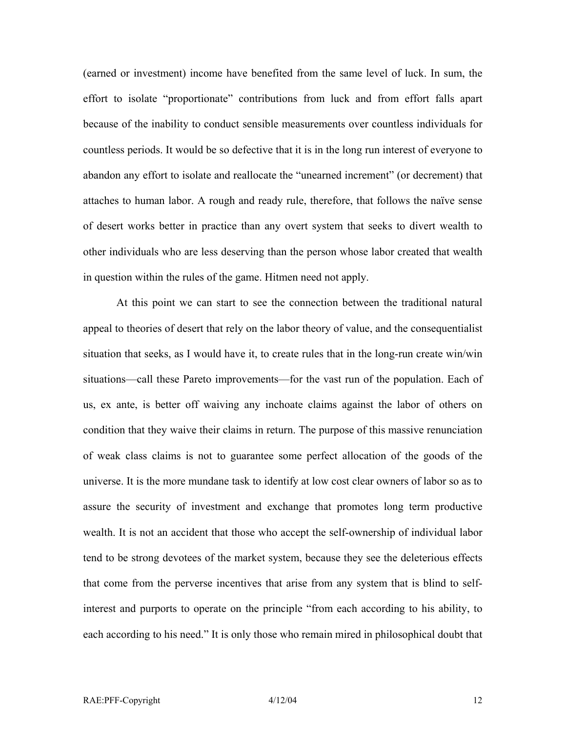(earned or investment) income have benefited from the same level of luck. In sum, the effort to isolate "proportionate" contributions from luck and from effort falls apart because of the inability to conduct sensible measurements over countless individuals for countless periods. It would be so defective that it is in the long run interest of everyone to abandon any effort to isolate and reallocate the "unearned increment" (or decrement) that attaches to human labor. A rough and ready rule, therefore, that follows the naïve sense of desert works better in practice than any overt system that seeks to divert wealth to other individuals who are less deserving than the person whose labor created that wealth in question within the rules of the game. Hitmen need not apply.

At this point we can start to see the connection between the traditional natural appeal to theories of desert that rely on the labor theory of value, and the consequentialist situation that seeks, as I would have it, to create rules that in the long-run create win/win situations—call these Pareto improvements—for the vast run of the population. Each of us, ex ante, is better off waiving any inchoate claims against the labor of others on condition that they waive their claims in return. The purpose of this massive renunciation of weak class claims is not to guarantee some perfect allocation of the goods of the universe. It is the more mundane task to identify at low cost clear owners of labor so as to assure the security of investment and exchange that promotes long term productive wealth. It is not an accident that those who accept the self-ownership of individual labor tend to be strong devotees of the market system, because they see the deleterious effects that come from the perverse incentives that arise from any system that is blind to selfinterest and purports to operate on the principle "from each according to his ability, to each according to his need." It is only those who remain mired in philosophical doubt that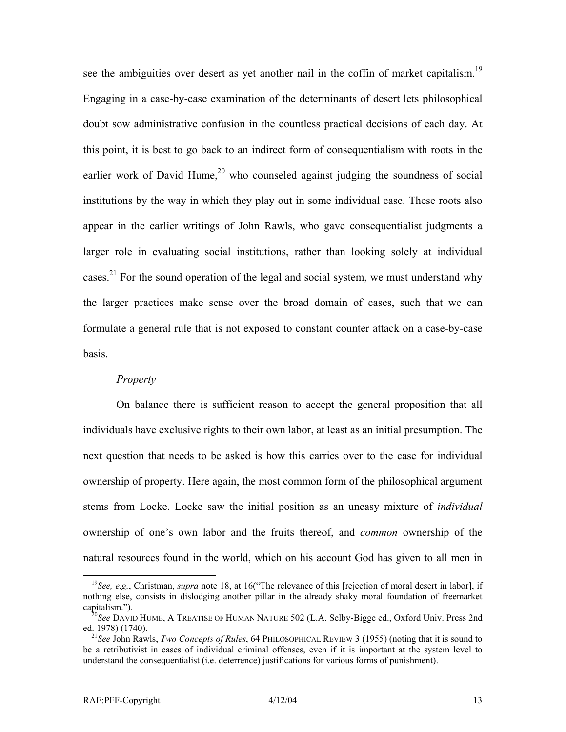see the ambiguities over desert as yet another nail in the coffin of market capitalism.<sup>[19](#page-14-0)</sup> Engaging in a case-by-case examination of the determinants of desert lets philosophical doubt sow administrative confusion in the countless practical decisions of each day. At this point, it is best to go back to an indirect form of consequentialism with roots in the earlier work of David Hume,<sup>20</sup> who counseled against judging the soundness of social institutions by the way in which they play out in some individual case. These roots also appear in the earlier writings of John Rawls, who gave consequentialist judgments a larger role in evaluating social institutions, rather than looking solely at individual cases.<sup>21</sup> For the sound operation of the legal and social system, we must understand why the larger practices make sense over the broad domain of cases, such that we can formulate a general rule that is not exposed to constant counter attack on a case-by-case basis.

#### *Property*

On balance there is sufficient reason to accept the general proposition that all individuals have exclusive rights to their own labor, at least as an initial presumption. The next question that needs to be asked is how this carries over to the case for individual ownership of property. Here again, the most common form of the philosophical argument stems from Locke. Locke saw the initial position as an uneasy mixture of *individual* ownership of one's own labor and the fruits thereof, and *common* ownership of the natural resources found in the world, which on his account God has given to all men in

<span id="page-14-0"></span><sup>&</sup>lt;sup>19</sup>See, e.g., Christman, *supra* note 18, at 16("The relevance of this [rejection of moral desert in labor], if nothing else, consists in dislodging another pillar in the already shaky moral foundation of freemarket

<span id="page-14-1"></span>capitalism.").<br><sup>20</sup>*See* DAVID HUME, A TREATISE OF HUMAN NATURE 502 (L.A. Selby-Bigge ed., Oxford Univ. Press 2nd ed. 1978) (1740).

<span id="page-14-2"></span><sup>&</sup>lt;sup>21</sup>See John Rawls, *Two Concepts of Rules*, 64 PHILOSOPHICAL REVIEW 3 (1955) (noting that it is sound to be a retributivist in cases of individual criminal offenses, even if it is important at the system level to understand the consequentialist (i.e. deterrence) justifications for various forms of punishment).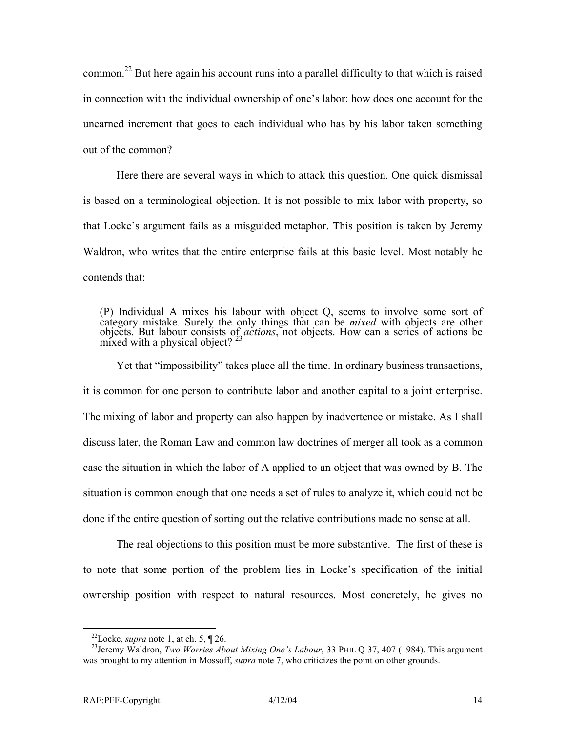common.<sup>22</sup> But here again his account runs into a parallel difficulty to that which is raised in connection with the individual ownership of one's labor: how does one account for the unearned increment that goes to each individual who has by his labor taken something out of the common?

Here there are several ways in which to attack this question. One quick dismissal is based on a terminological objection. It is not possible to mix labor with property, so that Locke's argument fails as a misguided metaphor. This position is taken by Jeremy Waldron, who writes that the entire enterprise fails at this basic level. Most notably he contends that:

(P) Individual A mixes his labour with object Q, seems to involve some sort of category mistake. Surely the only things that can be *mixed* with objects are other objects. But labour consists of *actions*, not objects. How can a series of actions be mixed with a physical object?  $23$ 

Yet that "impossibility" takes place all the time. In ordinary business transactions, it is common for one person to contribute labor and another capital to a joint enterprise. The mixing of labor and property can also happen by inadvertence or mistake. As I shall discuss later, the Roman Law and common law doctrines of merger all took as a common case the situation in which the labor of A applied to an object that was owned by B. The situation is common enough that one needs a set of rules to analyze it, which could not be done if the entire question of sorting out the relative contributions made no sense at all.

The real objections to this position must be more substantive. The first of these is to note that some portion of the problem lies in Locke's specification of the initial ownership position with respect to natural resources. Most concretely, he gives no

<span id="page-15-1"></span><span id="page-15-0"></span>

<sup>&</sup>lt;sup>22</sup>Locke, *supra* note 1, at ch. 5,  $\P$  26.<br><sup>23</sup>Jeremy Waldron, *Two Worries About Mixing One's Labour*, 33 PHIL Q 37, 407 (1984). This argument was brought to my attention in Mossoff, *supra* note 7, who criticizes the point on other grounds.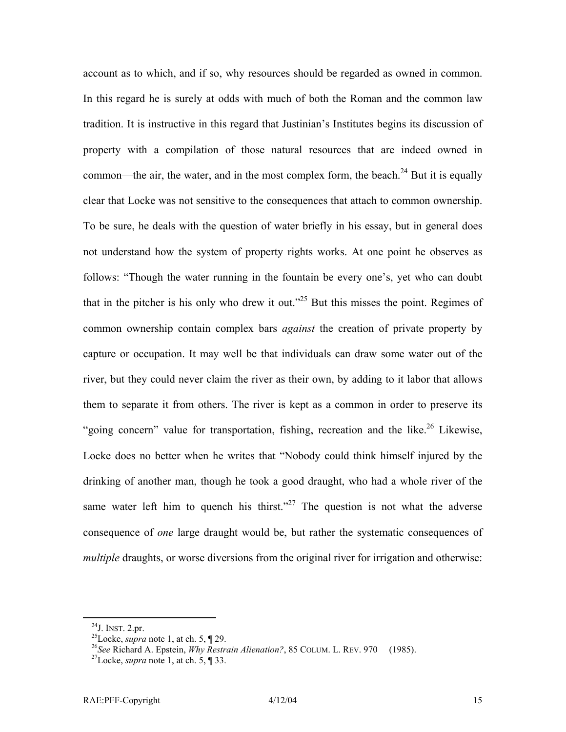account as to which, and if so, why resources should be regarded as owned in common. In this regard he is surely at odds with much of both the Roman and the common law tradition. It is instructive in this regard that Justinian's Institutes begins its discussion of property with a compilation of those natural resources that are indeed owned in common—the air, the water, and in the most complex form, the beach.<sup>24</sup> But it is equally clear that Locke was not sensitive to the consequences that attach to common ownership. To be sure, he deals with the question of water briefly in his essay, but in general does not understand how the system of property rights works. At one point he observes as follows: "Though the water running in the fountain be every one's, yet who can doubt that in the pitcher is his only who drew it out."<sup>25</sup> But this misses the point. Regimes of common ownership contain complex bars *against* the creation of private property by capture or occupation. It may well be that individuals can draw some water out of the river, but they could never claim the river as their own, by adding to it labor that allows them to separate it from others. The river is kept as a common in order to preserve its "going concern" value for transportation, fishing, recreation and the like.<sup>26</sup> Likewise, Locke does no better when he writes that "Nobody could think himself injured by the drinking of another man, though he took a good draught, who had a whole river of the same water left him to quench his thirst."<sup>27</sup> The question is not what the adverse consequence of *one* large draught would be, but rather the systematic consequences of *multiple* draughts, or worse diversions from the original river for irrigation and otherwise:

<span id="page-16-2"></span><span id="page-16-1"></span>

<span id="page-16-0"></span><sup>&</sup>lt;sup>24</sup>J. INST. 2.pr.<br><sup>25</sup>Locke, *supra* note 1, at ch. 5, ¶ 29.<br><sup>26</sup>*See* Richard A. Epstein, *Why Restrain Alienation?*, 85 COLUM. L. REV. 970 (1985). <sup>27</sup>Locke, *supra* note 1, at ch. 5, ¶ 33.

<span id="page-16-3"></span>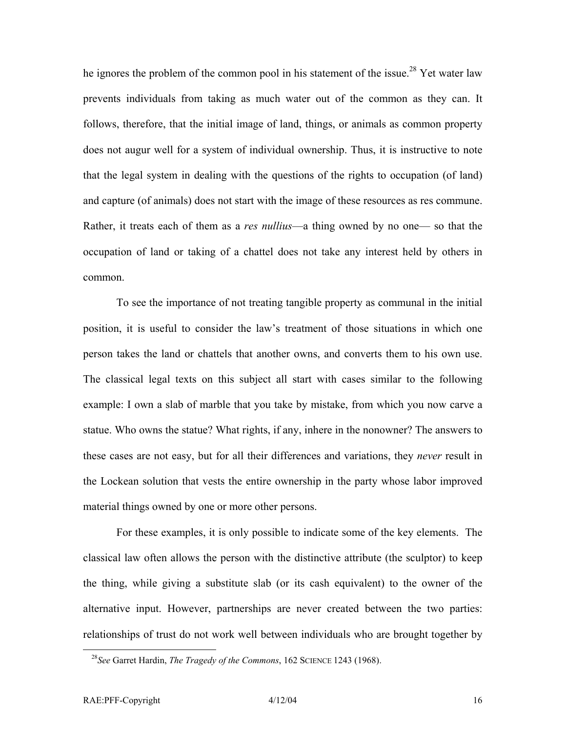he ignores the problem of the common pool in his statement of the issue.<sup>28</sup> Yet water law prevents individuals from taking as much water out of the common as they can. It follows, therefore, that the initial image of land, things, or animals as common property does not augur well for a system of individual ownership. Thus, it is instructive to note that the legal system in dealing with the questions of the rights to occupation (of land) and capture (of animals) does not start with the image of these resources as res commune. Rather, it treats each of them as a *res nullius*—a thing owned by no one— so that the occupation of land or taking of a chattel does not take any interest held by others in common.

To see the importance of not treating tangible property as communal in the initial position, it is useful to consider the law's treatment of those situations in which one person takes the land or chattels that another owns, and converts them to his own use. The classical legal texts on this subject all start with cases similar to the following example: I own a slab of marble that you take by mistake, from which you now carve a statue. Who owns the statue? What rights, if any, inhere in the nonowner? The answers to these cases are not easy, but for all their differences and variations, they *never* result in the Lockean solution that vests the entire ownership in the party whose labor improved material things owned by one or more other persons.

For these examples, it is only possible to indicate some of the key elements. The classical law often allows the person with the distinctive attribute (the sculptor) to keep the thing, while giving a substitute slab (or its cash equivalent) to the owner of the alternative input. However, partnerships are never created between the two parties: relationships of trust do not work well between individuals who are brought together by

<span id="page-17-0"></span> <sup>28</sup>*See* Garret Hardin, *The Tragedy of the Commons*, 162 SCIENCE 1243 (1968).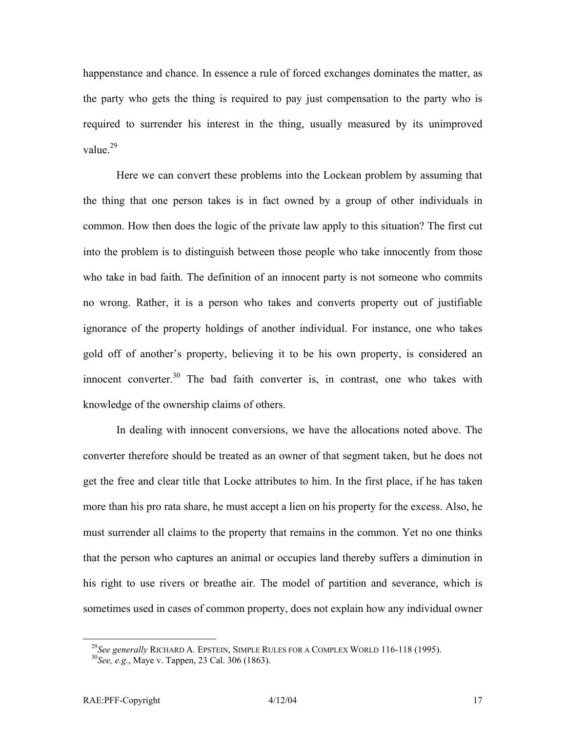happenstance and chance. In essence a rule of forced exchanges dominates the matter, as the party who gets the thing is required to pay just compensation to the party who is required to surrender his interest in the thing, usually measured by its unimproved value.<sup>29</sup>

Here we can convert these problems into the Lockean problem by assuming that the thing that one person takes is in fact owned by a group of other individuals in common. How then does the logic of the private law apply to this situation? The first cut into the problem is to distinguish between those people who take innocently from those who take in bad faith. The definition of an innocent party is not someone who commits no wrong. Rather, it is a person who takes and converts property out of justifiable ignorance of the property holdings of another individual. For instance, one who takes gold off of another's property, believing it to be his own property, is considered an innocent converter.<sup>30</sup> The bad faith converter is, in contrast, one who takes with knowledge of the ownership claims of others.

In dealing with innocent conversions, we have the allocations noted above. The converter therefore should be treated as an owner of that segment taken, but he does not get the free and clear title that Locke attributes to him. In the first place, if he has taken more than his pro rata share, he must accept a lien on his property for the excess. Also, he must surrender all claims to the property that remains in the common. Yet no one thinks that the person who captures an animal or occupies land thereby suffers a diminution in his right to use rivers or breathe air. The model of partition and severance, which is sometimes used in cases of common property, does not explain how any individual owner

<span id="page-18-0"></span><sup>&</sup>lt;sup>29</sup>*See generally* RICHARD A. EPSTEIN, SIMPLE RULES FOR A COMPLEX WORLD 116-118 (1995).<br><sup>30</sup>*See, e.g.*, Maye v. Tappen, 23 Cal. 306 (1863).

<span id="page-18-1"></span>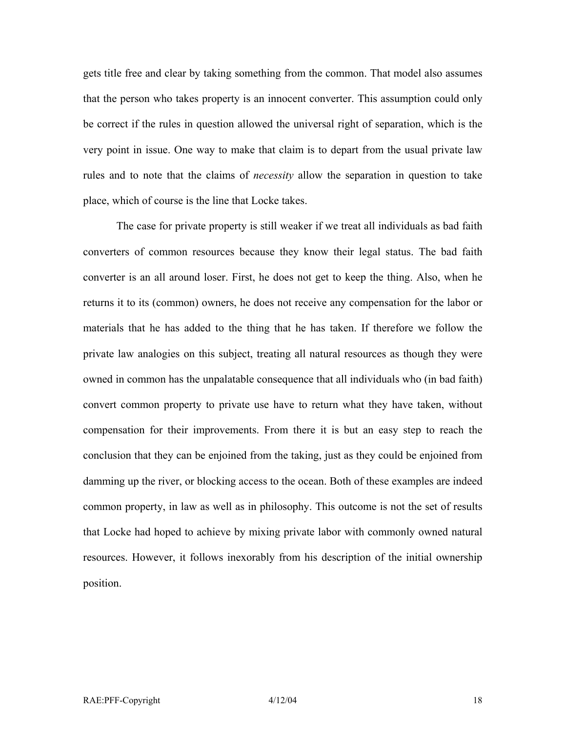gets title free and clear by taking something from the common. That model also assumes that the person who takes property is an innocent converter. This assumption could only be correct if the rules in question allowed the universal right of separation, which is the very point in issue. One way to make that claim is to depart from the usual private law rules and to note that the claims of *necessity* allow the separation in question to take place, which of course is the line that Locke takes.

The case for private property is still weaker if we treat all individuals as bad faith converters of common resources because they know their legal status. The bad faith converter is an all around loser. First, he does not get to keep the thing. Also, when he returns it to its (common) owners, he does not receive any compensation for the labor or materials that he has added to the thing that he has taken. If therefore we follow the private law analogies on this subject, treating all natural resources as though they were owned in common has the unpalatable consequence that all individuals who (in bad faith) convert common property to private use have to return what they have taken, without compensation for their improvements. From there it is but an easy step to reach the conclusion that they can be enjoined from the taking, just as they could be enjoined from damming up the river, or blocking access to the ocean. Both of these examples are indeed common property, in law as well as in philosophy. This outcome is not the set of results that Locke had hoped to achieve by mixing private labor with commonly owned natural resources. However, it follows inexorably from his description of the initial ownership position.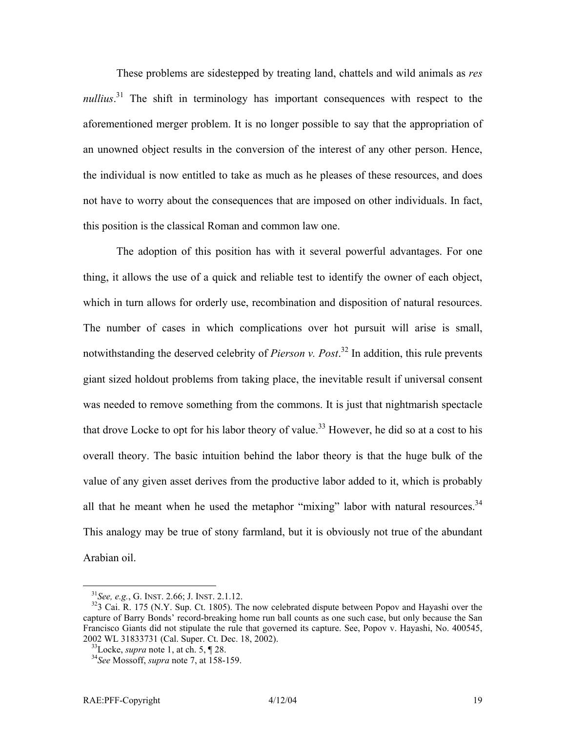These problems are sidestepped by treating land, chattels and wild animals as *res nullius*.<sup>31</sup> The shift in terminology has important consequences with respect to the aforementioned merger problem. It is no longer possible to say that the appropriation of an unowned object results in the conversion of the interest of any other person. Hence, the individual is now entitled to take as much as he pleases of these resources, and does not have to worry about the consequences that are imposed on other individuals. In fact, this position is the classical Roman and common law one.

The adoption of this position has with it several powerful advantages. For one thing, it allows the use of a quick and reliable test to identify the owner of each object, which in turn allows for orderly use, recombination and disposition of natural resources. The number of cases in which complications over hot pursuit will arise is small, notwithstanding the deserved celebrity of *Pierson v. Post*. [32](#page-20-1) In addition, this rule prevents giant sized holdout problems from taking place, the inevitable result if universal consent was needed to remove something from the commons. It is just that nightmarish spectacle that drove Locke to opt for his labor theory of value.<sup>33</sup> However, he did so at a cost to his overall theory. The basic intuition behind the labor theory is that the huge bulk of the value of any given asset derives from the productive labor added to it, which is probably all that he meant when he used the metaphor "mixing" labor with natural resources.<sup>34</sup> This analogy may be true of stony farmland, but it is obviously not true of the abundant Arabian oil.

<span id="page-20-1"></span><span id="page-20-0"></span>

 $^{31}$ See, e.g., G. INST. 2.66; J. INST. 2.1.12.<br> $^{32}$ 3 Cai. R. 175 (N.Y. Sup. Ct. 1805). The now celebrated dispute between Popov and Hayashi over the capture of Barry Bonds' record-breaking home run ball counts as one such case, but only because the San Francisco Giants did not stipulate the rule that governed its capture. See, Popov v. Hayashi, No. 400545, 2002 WL 31833731 (Cal. Super. Ct. Dec. 18, 2002). 33Locke, *supra* note 1, at ch. 5, ¶ 28. 34*See* Mossoff, *supra* note 7, at 158-159.

<span id="page-20-2"></span>

<span id="page-20-3"></span>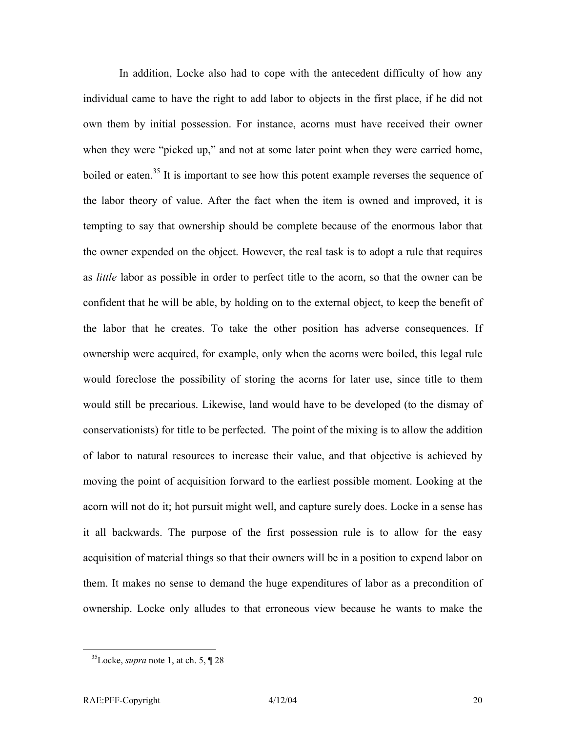In addition, Locke also had to cope with the antecedent difficulty of how any individual came to have the right to add labor to objects in the first place, if he did not own them by initial possession. For instance, acorns must have received their owner when they were "picked up," and not at some later point when they were carried home, boiled or eaten.<sup>35</sup> It is important to see how this potent example reverses the sequence of the labor theory of value. After the fact when the item is owned and improved, it is tempting to say that ownership should be complete because of the enormous labor that the owner expended on the object. However, the real task is to adopt a rule that requires as *little* labor as possible in order to perfect title to the acorn, so that the owner can be confident that he will be able, by holding on to the external object, to keep the benefit of the labor that he creates. To take the other position has adverse consequences. If ownership were acquired, for example, only when the acorns were boiled, this legal rule would foreclose the possibility of storing the acorns for later use, since title to them would still be precarious. Likewise, land would have to be developed (to the dismay of conservationists) for title to be perfected. The point of the mixing is to allow the addition of labor to natural resources to increase their value, and that objective is achieved by moving the point of acquisition forward to the earliest possible moment. Looking at the acorn will not do it; hot pursuit might well, and capture surely does. Locke in a sense has it all backwards. The purpose of the first possession rule is to allow for the easy acquisition of material things so that their owners will be in a position to expend labor on them. It makes no sense to demand the huge expenditures of labor as a precondition of ownership. Locke only alludes to that erroneous view because he wants to make the

<span id="page-21-0"></span> <sup>35</sup>Locke, *supra* note 1, at ch. 5, ¶ 28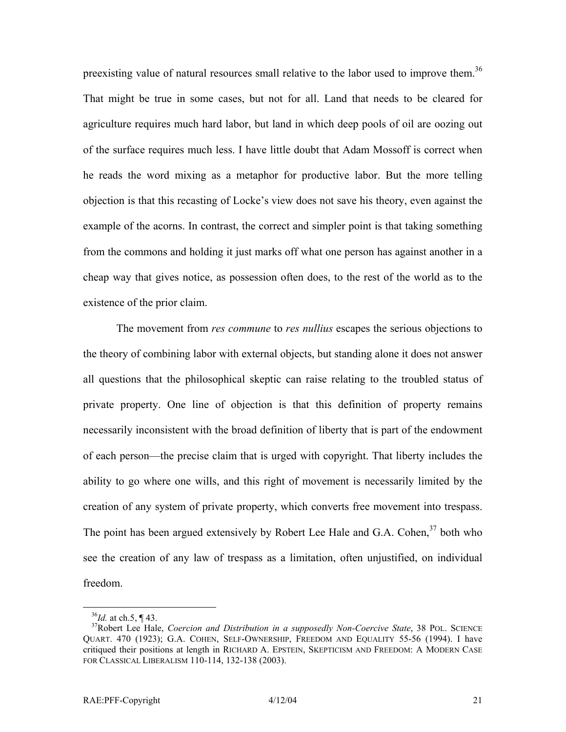preexisting value of natural resources small relative to the labor used to improve them.<sup>[36](#page-22-0)</sup> That might be true in some cases, but not for all. Land that needs to be cleared for agriculture requires much hard labor, but land in which deep pools of oil are oozing out of the surface requires much less. I have little doubt that Adam Mossoff is correct when he reads the word mixing as a metaphor for productive labor. But the more telling objection is that this recasting of Locke's view does not save his theory, even against the example of the acorns. In contrast, the correct and simpler point is that taking something from the commons and holding it just marks off what one person has against another in a cheap way that gives notice, as possession often does, to the rest of the world as to the existence of the prior claim.

The movement from *res commune* to *res nullius* escapes the serious objections to the theory of combining labor with external objects, but standing alone it does not answer all questions that the philosophical skeptic can raise relating to the troubled status of private property. One line of objection is that this definition of property remains necessarily inconsistent with the broad definition of liberty that is part of the endowment of each person—the precise claim that is urged with copyright. That liberty includes the ability to go where one wills, and this right of movement is necessarily limited by the creation of any system of private property, which converts free movement into trespass. The point has been argued extensively by Robert Lee Hale and G.A. Cohen,  $37$  both who see the creation of any law of trespass as a limitation, often unjustified, on individual freedom.

<span id="page-22-1"></span><span id="page-22-0"></span>

<sup>36</sup>*Id.* at ch.5, ¶ 43. 37Robert Lee Hale, *Coercion and Distribution in a supposedly Non-Coercive State*, 38 POL. SCIENCE QUART. 470 (1923); G.A. COHEN, SELF-OWNERSHIP, FREEDOM AND EQUALITY 55-56 (1994). I have critiqued their positions at length in RICHARD A. EPSTEIN, SKEPTICISM AND FREEDOM: A MODERN CASE FOR CLASSICAL LIBERALISM 110-114, 132-138 (2003).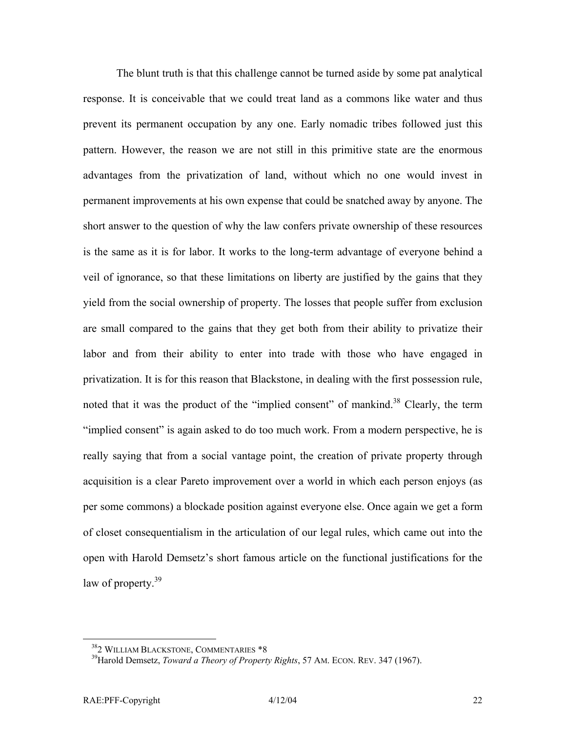The blunt truth is that this challenge cannot be turned aside by some pat analytical response. It is conceivable that we could treat land as a commons like water and thus prevent its permanent occupation by any one. Early nomadic tribes followed just this pattern. However, the reason we are not still in this primitive state are the enormous advantages from the privatization of land, without which no one would invest in permanent improvements at his own expense that could be snatched away by anyone. The short answer to the question of why the law confers private ownership of these resources is the same as it is for labor. It works to the long-term advantage of everyone behind a veil of ignorance, so that these limitations on liberty are justified by the gains that they yield from the social ownership of property. The losses that people suffer from exclusion are small compared to the gains that they get both from their ability to privatize their labor and from their ability to enter into trade with those who have engaged in privatization. It is for this reason that Blackstone, in dealing with the first possession rule, noted that it was the product of the "implied consent" of mankind.<sup>38</sup> Clearly, the term "implied consent" is again asked to do too much work. From a modern perspective, he is really saying that from a social vantage point, the creation of private property through acquisition is a clear Pareto improvement over a world in which each person enjoys (as per some commons) a blockade position against everyone else. Once again we get a form of closet consequentialism in the articulation of our legal rules, which came out into the open with Harold Demsetz's short famous article on the functional justifications for the law of property. $39$ 

<span id="page-23-1"></span><span id="page-23-0"></span>

<sup>&</sup>lt;sup>38</sup>2 WILLIAM BLACKSTONE, COMMENTARIES \*8<br><sup>39</sup>Harold Demsetz, *Toward a Theory of Property Rights*, 57 AM. ECON. REV. 347 (1967).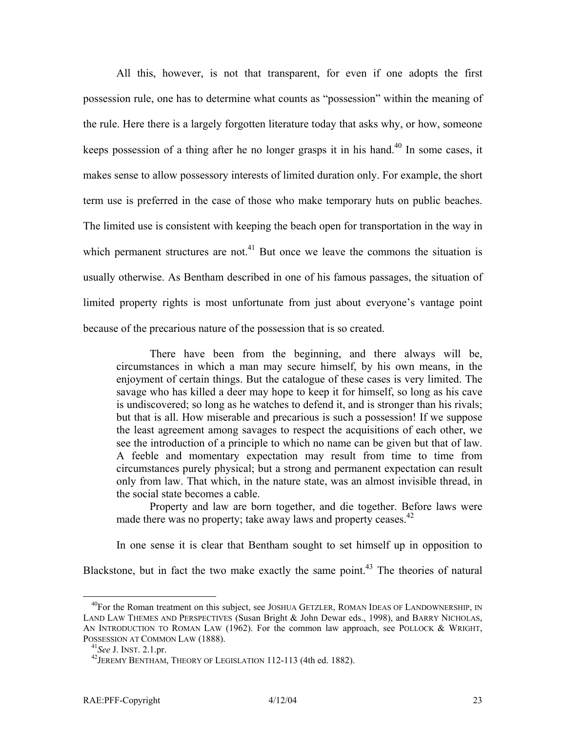All this, however, is not that transparent, for even if one adopts the first possession rule, one has to determine what counts as "possession" within the meaning of the rule. Here there is a largely forgotten literature today that asks why, or how, someone keeps possession of a thing after he no longer grasps it in his hand.<sup>40</sup> In some cases, it makes sense to allow possessory interests of limited duration only. For example, the short term use is preferred in the case of those who make temporary huts on public beaches. The limited use is consistent with keeping the beach open for transportation in the way in which permanent structures are not.<sup>41</sup> But once we leave the commons the situation is usually otherwise. As Bentham described in one of his famous passages, the situation of limited property rights is most unfortunate from just about everyone's vantage point because of the precarious nature of the possession that is so created.

There have been from the beginning, and there always will be, circumstances in which a man may secure himself, by his own means, in the enjoyment of certain things. But the catalogue of these cases is very limited. The savage who has killed a deer may hope to keep it for himself, so long as his cave is undiscovered; so long as he watches to defend it, and is stronger than his rivals; but that is all. How miserable and precarious is such a possession! If we suppose the least agreement among savages to respect the acquisitions of each other, we see the introduction of a principle to which no name can be given but that of law. A feeble and momentary expectation may result from time to time from circumstances purely physical; but a strong and permanent expectation can result only from law. That which, in the nature state, was an almost invisible thread, in the social state becomes a cable.

Property and law are born together, and die together. Before laws were made there was no property; take away laws and property ceases.  $42$ 

In one sense it is clear that Bentham sought to set himself up in opposition to

Blackstone, but in fact the two make exactly the same point.<sup>43</sup> The theories of natural

<span id="page-24-0"></span><sup>&</sup>lt;sup>40</sup>For the Roman treatment on this subject, see JOSHUA GETZLER, ROMAN IDEAS OF LANDOWNERSHIP, IN LAND LAW THEMES AND PERSPECTIVES (Susan Bright & John Dewar eds., 1998), and BARRY NICHOLAS, AN INTRODUCTION TO ROMAN LAW (1962). For the common law approach, see POLLOCK  $&$  WRIGHT, POSSESSION AT COMMON LAW (1888).<br><sup>41</sup>*See* J. INST. 2.1.pr. 4<sup>2</sup>JEREMY BENTHAM, THEORY OF LEGISLATION 112-113 (4th ed. 1882).

<span id="page-24-1"></span>

<span id="page-24-2"></span>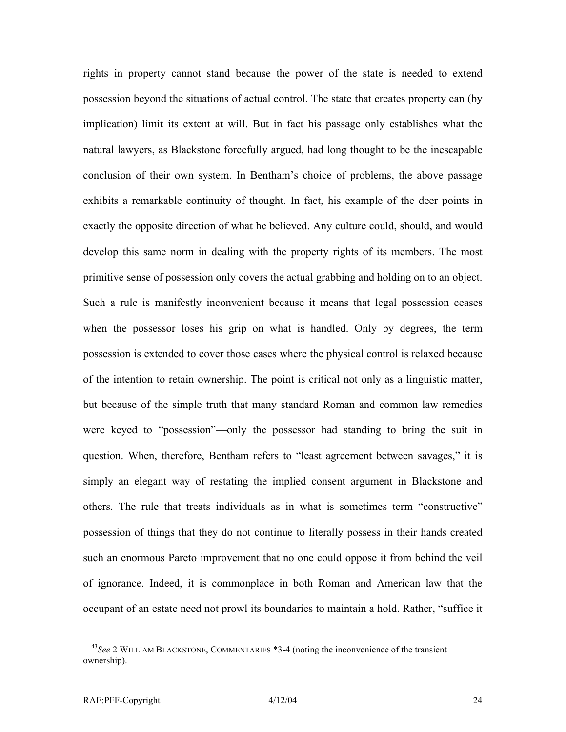rights in property cannot stand because the power of the state is needed to extend possession beyond the situations of actual control. The state that creates property can (by implication) limit its extent at will. But in fact his passage only establishes what the natural lawyers, as Blackstone forcefully argued, had long thought to be the inescapable conclusion of their own system. In Bentham's choice of problems, the above passage exhibits a remarkable continuity of thought. In fact, his example of the deer points in exactly the opposite direction of what he believed. Any culture could, should, and would develop this same norm in dealing with the property rights of its members. The most primitive sense of possession only covers the actual grabbing and holding on to an object. Such a rule is manifestly inconvenient because it means that legal possession ceases when the possessor loses his grip on what is handled. Only by degrees, the term possession is extended to cover those cases where the physical control is relaxed because of the intention to retain ownership. The point is critical not only as a linguistic matter, but because of the simple truth that many standard Roman and common law remedies were keyed to "possession"—only the possessor had standing to bring the suit in question. When, therefore, Bentham refers to "least agreement between savages," it is simply an elegant way of restating the implied consent argument in Blackstone and others. The rule that treats individuals as in what is sometimes term "constructive" possession of things that they do not continue to literally possess in their hands created such an enormous Pareto improvement that no one could oppose it from behind the veil of ignorance. Indeed, it is commonplace in both Roman and American law that the occupant of an estate need not prowl its boundaries to maintain a hold. Rather, "suffice it

 <sup>43</sup>*See* 2 WILLIAM BLACKSTONE, COMMENTARIES \*3-4 (noting the inconvenience of the transient ownership).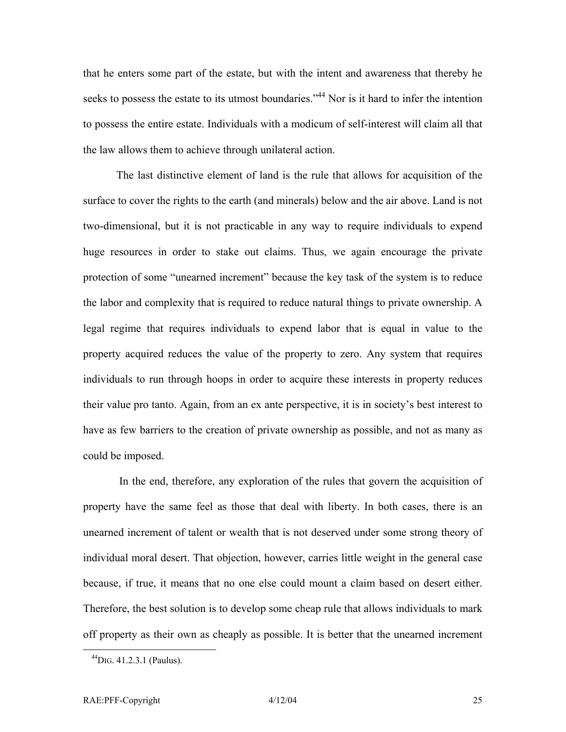that he enters some part of the estate, but with the intent and awareness that thereby he seeks to possess the estate to its utmost boundaries."<sup>44</sup> Nor is it hard to infer the intention to possess the entire estate. Individuals with a modicum of self-interest will claim all that the law allows them to achieve through unilateral action.

The last distinctive element of land is the rule that allows for acquisition of the surface to cover the rights to the earth (and minerals) below and the air above. Land is not two-dimensional, but it is not practicable in any way to require individuals to expend huge resources in order to stake out claims. Thus, we again encourage the private protection of some "unearned increment" because the key task of the system is to reduce the labor and complexity that is required to reduce natural things to private ownership. A legal regime that requires individuals to expend labor that is equal in value to the property acquired reduces the value of the property to zero. Any system that requires individuals to run through hoops in order to acquire these interests in property reduces their value pro tanto. Again, from an ex ante perspective, it is in society's best interest to have as few barriers to the creation of private ownership as possible, and not as many as could be imposed.

In the end, therefore, any exploration of the rules that govern the acquisition of property have the same feel as those that deal with liberty. In both cases, there is an unearned increment of talent or wealth that is not deserved under some strong theory of individual moral desert. That objection, however, carries little weight in the general case because, if true, it means that no one else could mount a claim based on desert either. Therefore, the best solution is to develop some cheap rule that allows individuals to mark off property as their own as cheaply as possible. It is better that the unearned increment

<span id="page-26-0"></span> $^{44}$ DIG. 41.2.3.1 (Paulus).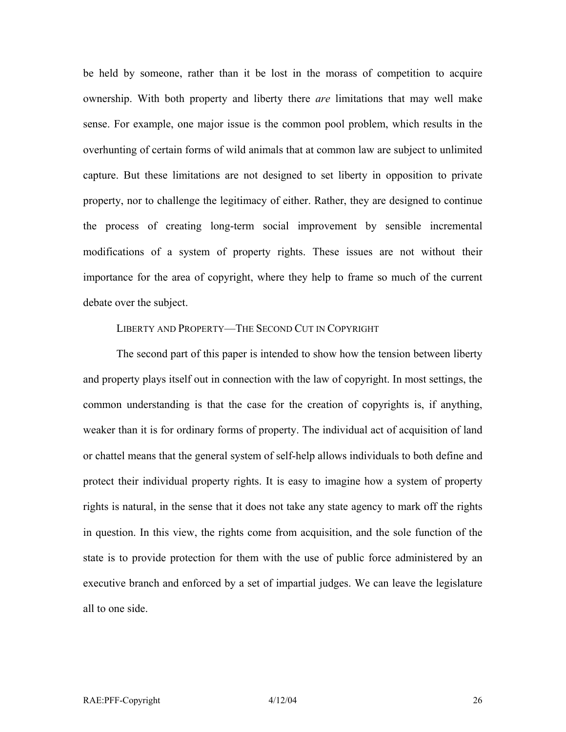be held by someone, rather than it be lost in the morass of competition to acquire ownership. With both property and liberty there *are* limitations that may well make sense. For example, one major issue is the common pool problem, which results in the overhunting of certain forms of wild animals that at common law are subject to unlimited capture. But these limitations are not designed to set liberty in opposition to private property, nor to challenge the legitimacy of either. Rather, they are designed to continue the process of creating long-term social improvement by sensible incremental modifications of a system of property rights. These issues are not without their importance for the area of copyright, where they help to frame so much of the current debate over the subject.

#### LIBERTY AND PROPERTY—THE SECOND CUT IN COPYRIGHT

The second part of this paper is intended to show how the tension between liberty and property plays itself out in connection with the law of copyright. In most settings, the common understanding is that the case for the creation of copyrights is, if anything, weaker than it is for ordinary forms of property. The individual act of acquisition of land or chattel means that the general system of self-help allows individuals to both define and protect their individual property rights. It is easy to imagine how a system of property rights is natural, in the sense that it does not take any state agency to mark off the rights in question. In this view, the rights come from acquisition, and the sole function of the state is to provide protection for them with the use of public force administered by an executive branch and enforced by a set of impartial judges. We can leave the legislature all to one side.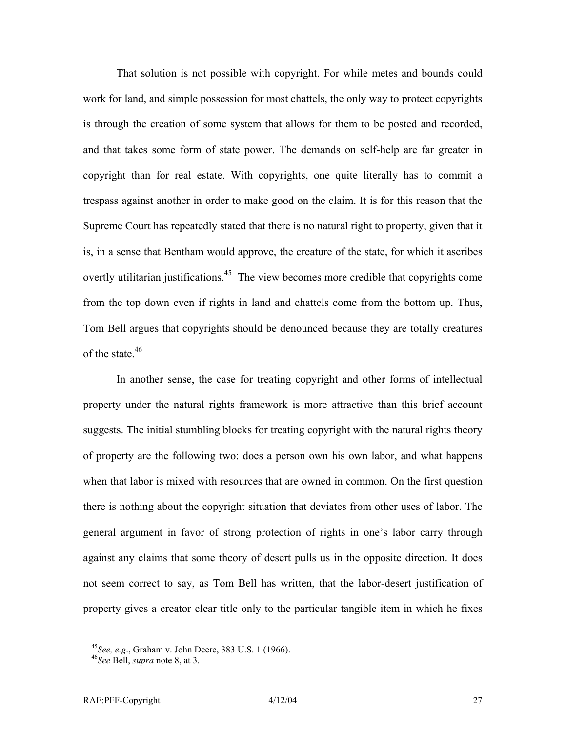That solution is not possible with copyright. For while metes and bounds could work for land, and simple possession for most chattels, the only way to protect copyrights is through the creation of some system that allows for them to be posted and recorded, and that takes some form of state power. The demands on self-help are far greater in copyright than for real estate. With copyrights, one quite literally has to commit a trespass against another in order to make good on the claim. It is for this reason that the Supreme Court has repeatedly stated that there is no natural right to property, given that it is, in a sense that Bentham would approve, the creature of the state, for which it ascribes overtly utilitarian justifications.<sup>45</sup> The view becomes more credible that copyrights come from the top down even if rights in land and chattels come from the bottom up. Thus, Tom Bell argues that copyrights should be denounced because they are totally creatures of the state.<sup>46</sup>

In another sense, the case for treating copyright and other forms of intellectual property under the natural rights framework is more attractive than this brief account suggests. The initial stumbling blocks for treating copyright with the natural rights theory of property are the following two: does a person own his own labor, and what happens when that labor is mixed with resources that are owned in common. On the first question there is nothing about the copyright situation that deviates from other uses of labor. The general argument in favor of strong protection of rights in one's labor carry through against any claims that some theory of desert pulls us in the opposite direction. It does not seem correct to say, as Tom Bell has written, that the labor-desert justification of property gives a creator clear title only to the particular tangible item in which he fixes

<span id="page-28-0"></span><sup>45</sup>*See, e.g*., Graham v. John Deere, 383 U.S. 1 (1966). 46*See* Bell, *supra* note 8, at 3.

<span id="page-28-1"></span>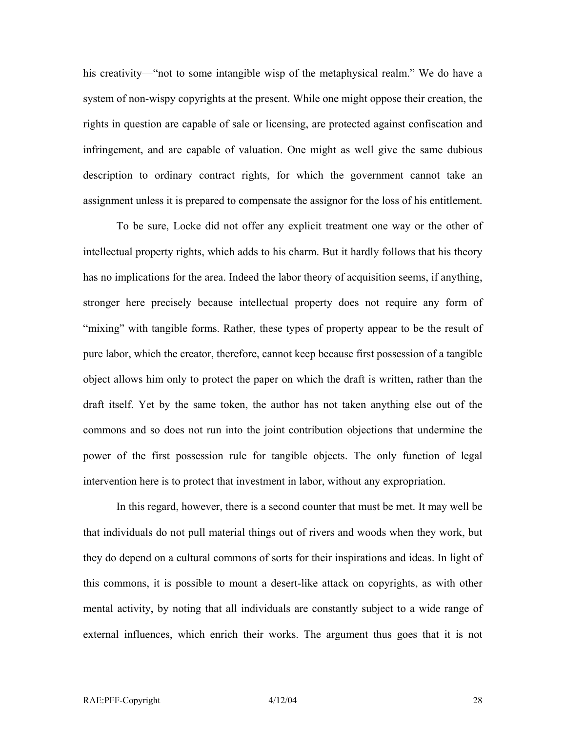his creativity—"not to some intangible wisp of the metaphysical realm." We do have a system of non-wispy copyrights at the present. While one might oppose their creation, the rights in question are capable of sale or licensing, are protected against confiscation and infringement, and are capable of valuation. One might as well give the same dubious description to ordinary contract rights, for which the government cannot take an assignment unless it is prepared to compensate the assignor for the loss of his entitlement.

To be sure, Locke did not offer any explicit treatment one way or the other of intellectual property rights, which adds to his charm. But it hardly follows that his theory has no implications for the area. Indeed the labor theory of acquisition seems, if anything, stronger here precisely because intellectual property does not require any form of "mixing" with tangible forms. Rather, these types of property appear to be the result of pure labor, which the creator, therefore, cannot keep because first possession of a tangible object allows him only to protect the paper on which the draft is written, rather than the draft itself. Yet by the same token, the author has not taken anything else out of the commons and so does not run into the joint contribution objections that undermine the power of the first possession rule for tangible objects. The only function of legal intervention here is to protect that investment in labor, without any expropriation.

In this regard, however, there is a second counter that must be met. It may well be that individuals do not pull material things out of rivers and woods when they work, but they do depend on a cultural commons of sorts for their inspirations and ideas. In light of this commons, it is possible to mount a desert-like attack on copyrights, as with other mental activity, by noting that all individuals are constantly subject to a wide range of external influences, which enrich their works. The argument thus goes that it is not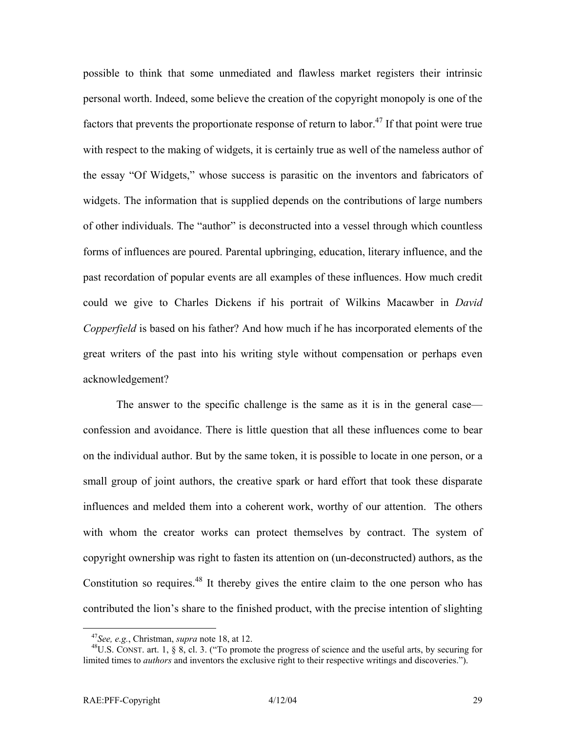possible to think that some unmediated and flawless market registers their intrinsic personal worth. Indeed, some believe the creation of the copyright monopoly is one of the factors that prevents the proportionate response of return to labor.<sup>47</sup> If that point were true with respect to the making of widgets, it is certainly true as well of the nameless author of the essay "Of Widgets," whose success is parasitic on the inventors and fabricators of widgets. The information that is supplied depends on the contributions of large numbers of other individuals. The "author" is deconstructed into a vessel through which countless forms of influences are poured. Parental upbringing, education, literary influence, and the past recordation of popular events are all examples of these influences. How much credit could we give to Charles Dickens if his portrait of Wilkins Macawber in *David Copperfield* is based on his father? And how much if he has incorporated elements of the great writers of the past into his writing style without compensation or perhaps even acknowledgement?

The answer to the specific challenge is the same as it is in the general case confession and avoidance. There is little question that all these influences come to bear on the individual author. But by the same token, it is possible to locate in one person, or a small group of joint authors, the creative spark or hard effort that took these disparate influences and melded them into a coherent work, worthy of our attention. The others with whom the creator works can protect themselves by contract. The system of copyright ownership was right to fasten its attention on (un-deconstructed) authors, as the Constitution so requires.<sup>48</sup> It thereby gives the entire claim to the one person who has contributed the lion's share to the finished product, with the precise intention of slighting

<span id="page-30-1"></span><span id="page-30-0"></span>

<sup>&</sup>lt;sup>47</sup>See, e.g., Christman, *supra* note 18, at 12.<br><sup>48</sup>U.S. CONST. art. 1, § 8, cl. 3. ("To promote the progress of science and the useful arts, by securing for limited times to *authors* and inventors the exclusive right to their respective writings and discoveries.").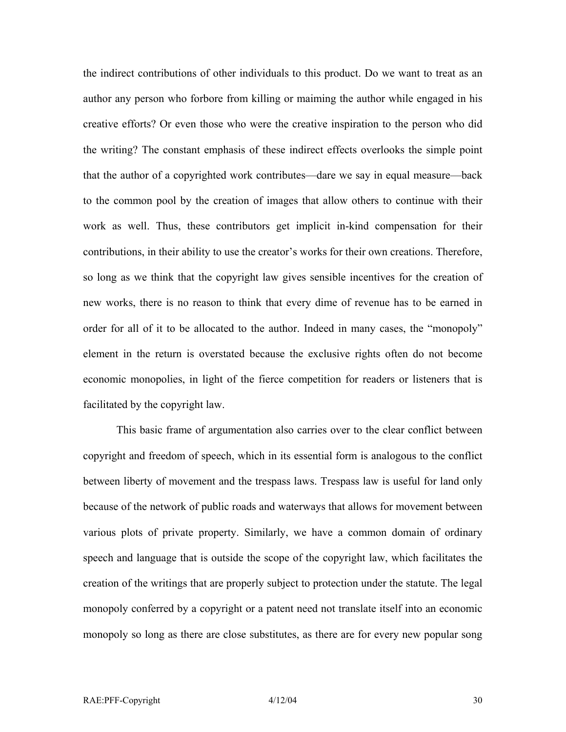the indirect contributions of other individuals to this product. Do we want to treat as an author any person who forbore from killing or maiming the author while engaged in his creative efforts? Or even those who were the creative inspiration to the person who did the writing? The constant emphasis of these indirect effects overlooks the simple point that the author of a copyrighted work contributes—dare we say in equal measure—back to the common pool by the creation of images that allow others to continue with their work as well. Thus, these contributors get implicit in-kind compensation for their contributions, in their ability to use the creator's works for their own creations. Therefore, so long as we think that the copyright law gives sensible incentives for the creation of new works, there is no reason to think that every dime of revenue has to be earned in order for all of it to be allocated to the author. Indeed in many cases, the "monopoly" element in the return is overstated because the exclusive rights often do not become economic monopolies, in light of the fierce competition for readers or listeners that is facilitated by the copyright law.

This basic frame of argumentation also carries over to the clear conflict between copyright and freedom of speech, which in its essential form is analogous to the conflict between liberty of movement and the trespass laws. Trespass law is useful for land only because of the network of public roads and waterways that allows for movement between various plots of private property. Similarly, we have a common domain of ordinary speech and language that is outside the scope of the copyright law, which facilitates the creation of the writings that are properly subject to protection under the statute. The legal monopoly conferred by a copyright or a patent need not translate itself into an economic monopoly so long as there are close substitutes, as there are for every new popular song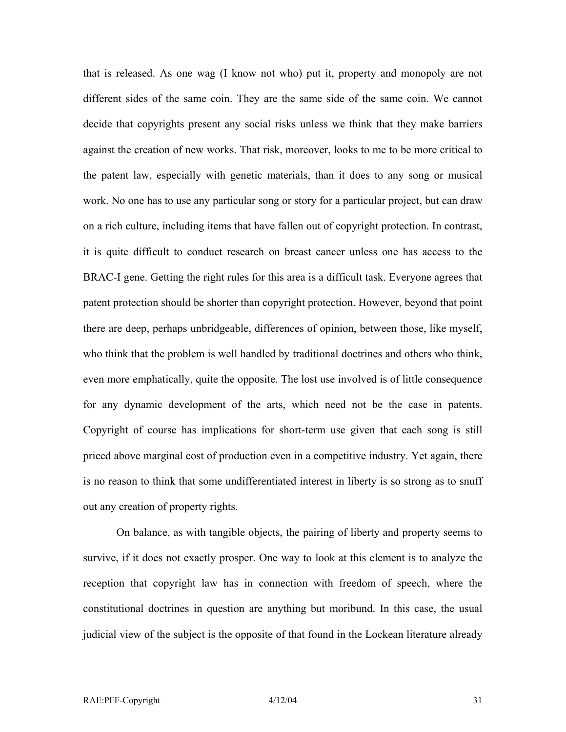that is released. As one wag (I know not who) put it, property and monopoly are not different sides of the same coin. They are the same side of the same coin. We cannot decide that copyrights present any social risks unless we think that they make barriers against the creation of new works. That risk, moreover, looks to me to be more critical to the patent law, especially with genetic materials, than it does to any song or musical work. No one has to use any particular song or story for a particular project, but can draw on a rich culture, including items that have fallen out of copyright protection. In contrast, it is quite difficult to conduct research on breast cancer unless one has access to the BRAC-I gene. Getting the right rules for this area is a difficult task. Everyone agrees that patent protection should be shorter than copyright protection. However, beyond that point there are deep, perhaps unbridgeable, differences of opinion, between those, like myself, who think that the problem is well handled by traditional doctrines and others who think, even more emphatically, quite the opposite. The lost use involved is of little consequence for any dynamic development of the arts, which need not be the case in patents. Copyright of course has implications for short-term use given that each song is still priced above marginal cost of production even in a competitive industry. Yet again, there is no reason to think that some undifferentiated interest in liberty is so strong as to snuff out any creation of property rights.

On balance, as with tangible objects, the pairing of liberty and property seems to survive, if it does not exactly prosper. One way to look at this element is to analyze the reception that copyright law has in connection with freedom of speech, where the constitutional doctrines in question are anything but moribund. In this case, the usual judicial view of the subject is the opposite of that found in the Lockean literature already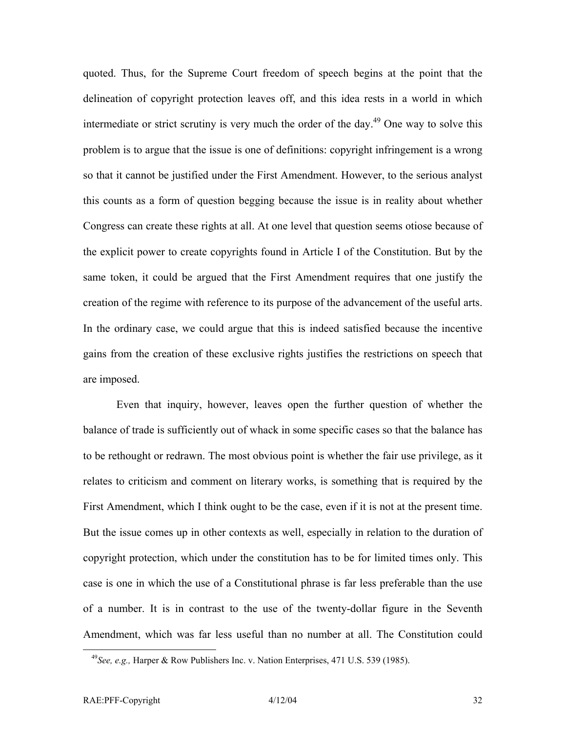quoted. Thus, for the Supreme Court freedom of speech begins at the point that the delineation of copyright protection leaves off, and this idea rests in a world in which intermediate or strict scrutiny is very much the order of the day.<sup>49</sup> One way to solve this problem is to argue that the issue is one of definitions: copyright infringement is a wrong so that it cannot be justified under the First Amendment. However, to the serious analyst this counts as a form of question begging because the issue is in reality about whether Congress can create these rights at all. At one level that question seems otiose because of the explicit power to create copyrights found in Article I of the Constitution. But by the same token, it could be argued that the First Amendment requires that one justify the creation of the regime with reference to its purpose of the advancement of the useful arts. In the ordinary case, we could argue that this is indeed satisfied because the incentive gains from the creation of these exclusive rights justifies the restrictions on speech that are imposed.

Even that inquiry, however, leaves open the further question of whether the balance of trade is sufficiently out of whack in some specific cases so that the balance has to be rethought or redrawn. The most obvious point is whether the fair use privilege, as it relates to criticism and comment on literary works, is something that is required by the First Amendment, which I think ought to be the case, even if it is not at the present time. But the issue comes up in other contexts as well, especially in relation to the duration of copyright protection, which under the constitution has to be for limited times only. This case is one in which the use of a Constitutional phrase is far less preferable than the use of a number. It is in contrast to the use of the twenty-dollar figure in the Seventh Amendment, which was far less useful than no number at all. The Constitution could

<span id="page-33-0"></span> <sup>49</sup>*See, e.g.,* Harper & Row Publishers Inc. v. Nation Enterprises, 471 U.S. 539 (1985).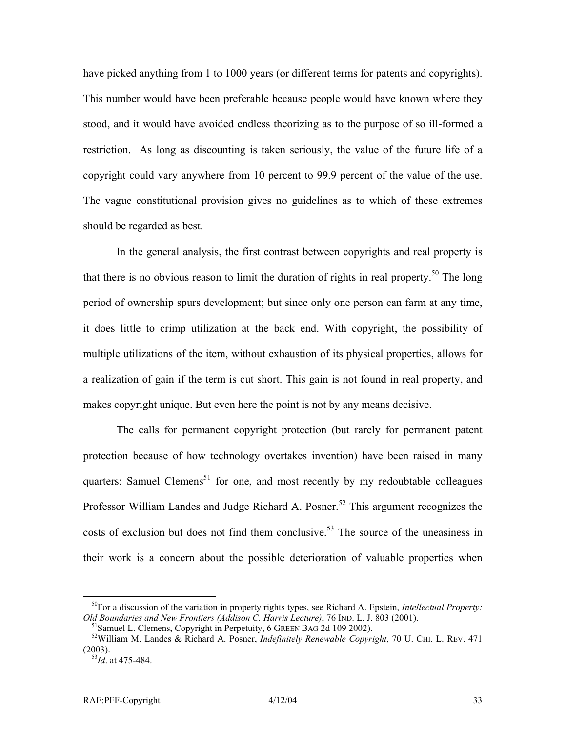have picked anything from 1 to 1000 years (or different terms for patents and copyrights). This number would have been preferable because people would have known where they stood, and it would have avoided endless theorizing as to the purpose of so ill-formed a restriction. As long as discounting is taken seriously, the value of the future life of a copyright could vary anywhere from 10 percent to 99.9 percent of the value of the use. The vague constitutional provision gives no guidelines as to which of these extremes should be regarded as best.

In the general analysis, the first contrast between copyrights and real property is that there is no obvious reason to limit the duration of rights in real property.<sup>50</sup> The long period of ownership spurs development; but since only one person can farm at any time, it does little to crimp utilization at the back end. With copyright, the possibility of multiple utilizations of the item, without exhaustion of its physical properties, allows for a realization of gain if the term is cut short. This gain is not found in real property, and makes copyright unique. But even here the point is not by any means decisive.

The calls for permanent copyright protection (but rarely for permanent patent protection because of how technology overtakes invention) have been raised in many quarters: Samuel Clemens<sup>51</sup> for one, and most recently by my redoubtable colleagues Professor William Landes and Judge Richard A. Posner.<sup>52</sup> This argument recognizes the costs of exclusion but does not find them conclusive.<sup>53</sup> The source of the uneasiness in their work is a concern about the possible deterioration of valuable properties when

<span id="page-34-0"></span> <sup>50</sup>For a discussion of the variation in property rights types, see Richard A. Epstein, *Intellectual Property:*  Old Boundaries and New Frontiers (Addison C. Harris Lecture), 76 IND. L. J. 803 (2001).<br><sup>51</sup> Samuel L. Clemens, Copyright in Perpetuity, 6 GREEN BAG 2d 109 2002).<br><sup>52</sup> William M. Landes & Richard A. Posner, *Indefinitely R* 

<span id="page-34-2"></span><span id="page-34-1"></span>

<sup>(2003). 53</sup>*Id*. at 475-484.

<span id="page-34-3"></span>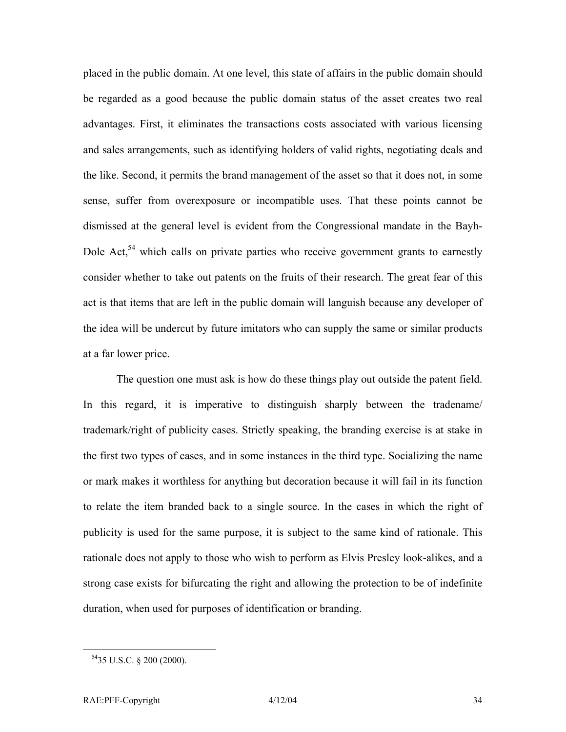placed in the public domain. At one level, this state of affairs in the public domain should be regarded as a good because the public domain status of the asset creates two real advantages. First, it eliminates the transactions costs associated with various licensing and sales arrangements, such as identifying holders of valid rights, negotiating deals and the like. Second, it permits the brand management of the asset so that it does not, in some sense, suffer from overexposure or incompatible uses. That these points cannot be dismissed at the general level is evident from the Congressional mandate in the Bayh-Dole Act,<sup>54</sup> which calls on private parties who receive government grants to earnestly consider whether to take out patents on the fruits of their research. The great fear of this act is that items that are left in the public domain will languish because any developer of the idea will be undercut by future imitators who can supply the same or similar products at a far lower price.

The question one must ask is how do these things play out outside the patent field. In this regard, it is imperative to distinguish sharply between the tradename/ trademark/right of publicity cases. Strictly speaking, the branding exercise is at stake in the first two types of cases, and in some instances in the third type. Socializing the name or mark makes it worthless for anything but decoration because it will fail in its function to relate the item branded back to a single source. In the cases in which the right of publicity is used for the same purpose, it is subject to the same kind of rationale. This rationale does not apply to those who wish to perform as Elvis Presley look-alikes, and a strong case exists for bifurcating the right and allowing the protection to be of indefinite duration, when used for purposes of identification or branding.

<span id="page-35-0"></span> <sup>5435</sup> U.S.C. § 200 (2000).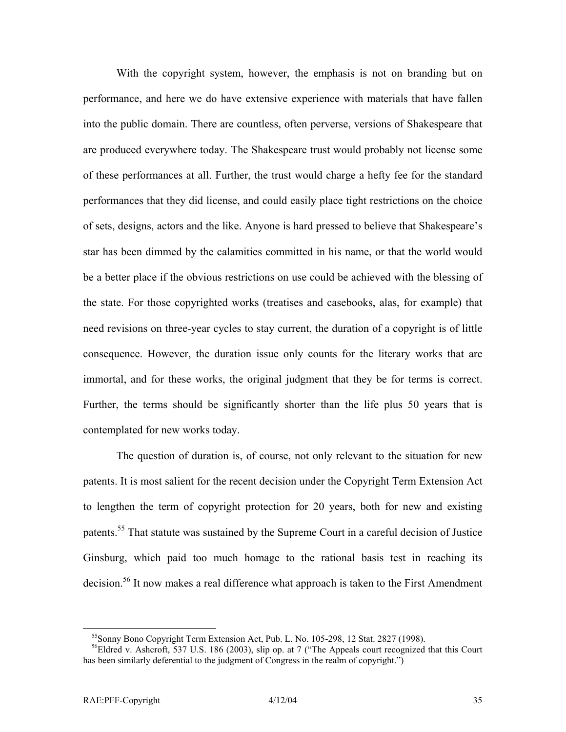With the copyright system, however, the emphasis is not on branding but on performance, and here we do have extensive experience with materials that have fallen into the public domain. There are countless, often perverse, versions of Shakespeare that are produced everywhere today. The Shakespeare trust would probably not license some of these performances at all. Further, the trust would charge a hefty fee for the standard performances that they did license, and could easily place tight restrictions on the choice of sets, designs, actors and the like. Anyone is hard pressed to believe that Shakespeare's star has been dimmed by the calamities committed in his name, or that the world would be a better place if the obvious restrictions on use could be achieved with the blessing of the state. For those copyrighted works (treatises and casebooks, alas, for example) that need revisions on three-year cycles to stay current, the duration of a copyright is of little consequence. However, the duration issue only counts for the literary works that are immortal, and for these works, the original judgment that they be for terms is correct. Further, the terms should be significantly shorter than the life plus 50 years that is contemplated for new works today.

The question of duration is, of course, not only relevant to the situation for new patents. It is most salient for the recent decision under the Copyright Term Extension Act to lengthen the term of copyright protection for 20 years, both for new and existing patents.<sup>55</sup> That statute was sustained by the Supreme Court in a careful decision of Justice Ginsburg, which paid too much homage to the rational basis test in reaching its decision.<sup>56</sup> It now makes a real difference what approach is taken to the First Amendment

<span id="page-36-1"></span><span id="page-36-0"></span>

<sup>&</sup>lt;sup>55</sup>Sonny Bono Copyright Term Extension Act, Pub. L. No. 105-298, 12 Stat. 2827 (1998).<br><sup>56</sup>Eldred v. Ashcroft, 537 U.S. 186 (2003), slip op. at 7 ("The Appeals court recognized that this Court has been similarly deferential to the judgment of Congress in the realm of copyright.")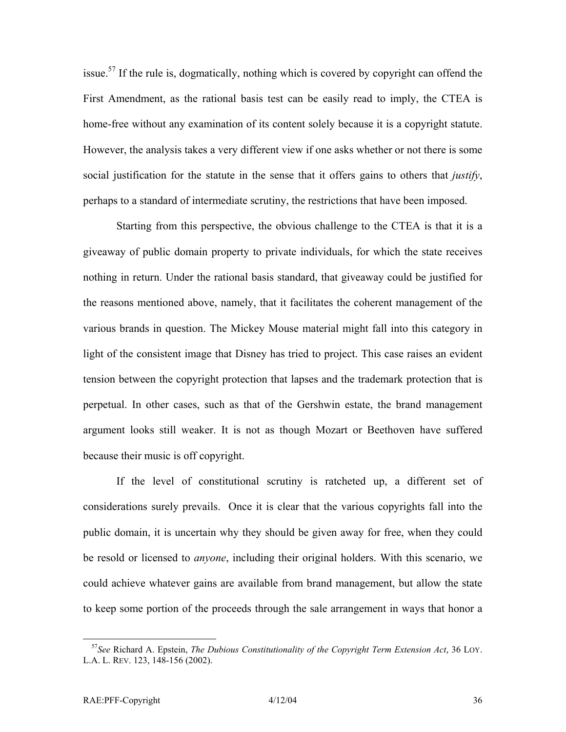issue[.57](#page-37-0) If the rule is, dogmatically, nothing which is covered by copyright can offend the First Amendment, as the rational basis test can be easily read to imply, the CTEA is home-free without any examination of its content solely because it is a copyright statute. However, the analysis takes a very different view if one asks whether or not there is some social justification for the statute in the sense that it offers gains to others that *justify*, perhaps to a standard of intermediate scrutiny, the restrictions that have been imposed.

Starting from this perspective, the obvious challenge to the CTEA is that it is a giveaway of public domain property to private individuals, for which the state receives nothing in return. Under the rational basis standard, that giveaway could be justified for the reasons mentioned above, namely, that it facilitates the coherent management of the various brands in question. The Mickey Mouse material might fall into this category in light of the consistent image that Disney has tried to project. This case raises an evident tension between the copyright protection that lapses and the trademark protection that is perpetual. In other cases, such as that of the Gershwin estate, the brand management argument looks still weaker. It is not as though Mozart or Beethoven have suffered because their music is off copyright.

If the level of constitutional scrutiny is ratcheted up, a different set of considerations surely prevails. Once it is clear that the various copyrights fall into the public domain, it is uncertain why they should be given away for free, when they could be resold or licensed to *anyone*, including their original holders. With this scenario, we could achieve whatever gains are available from brand management, but allow the state to keep some portion of the proceeds through the sale arrangement in ways that honor a

<span id="page-37-0"></span> <sup>57</sup>*See* Richard A. Epstein, *The Dubious Constitutionality of the Copyright Term Extension Act*, 36 LOY. L.A. L. REV. 123, 148-156 (2002).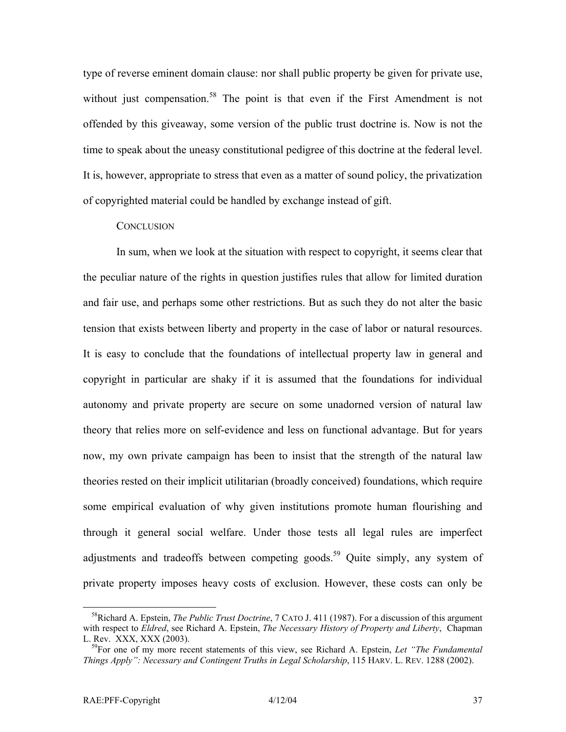type of reverse eminent domain clause: nor shall public property be given for private use, without just compensation.<sup>58</sup> The point is that even if the First Amendment is not offended by this giveaway, some version of the public trust doctrine is. Now is not the time to speak about the uneasy constitutional pedigree of this doctrine at the federal level. It is, however, appropriate to stress that even as a matter of sound policy, the privatization of copyrighted material could be handled by exchange instead of gift.

#### **CONCLUSION**

In sum, when we look at the situation with respect to copyright, it seems clear that the peculiar nature of the rights in question justifies rules that allow for limited duration and fair use, and perhaps some other restrictions. But as such they do not alter the basic tension that exists between liberty and property in the case of labor or natural resources. It is easy to conclude that the foundations of intellectual property law in general and copyright in particular are shaky if it is assumed that the foundations for individual autonomy and private property are secure on some unadorned version of natural law theory that relies more on self-evidence and less on functional advantage. But for years now, my own private campaign has been to insist that the strength of the natural law theories rested on their implicit utilitarian (broadly conceived) foundations, which require some empirical evaluation of why given institutions promote human flourishing and through it general social welfare. Under those tests all legal rules are imperfect adjustments and tradeoffs between competing goods.<sup>59</sup> Quite simply, any system of private property imposes heavy costs of exclusion. However, these costs can only be

<span id="page-38-0"></span> <sup>58</sup>Richard A. Epstein, *The Public Trust Doctrine*, 7 CATO J. 411 (1987). For a discussion of this argument with respect to *Eldred*, see Richard A. Epstein, *The Necessary History of Property and Liberty*, Chapman L. Rev. XXX, XXX (2003). 59For one of my more recent statements of this view, see Richard A. Epstein, *Let "The Fundamental*

<span id="page-38-1"></span>*Things Apply": Necessary and Contingent Truths in Legal Scholarship*, 115 HARV. L. REV. 1288 (2002).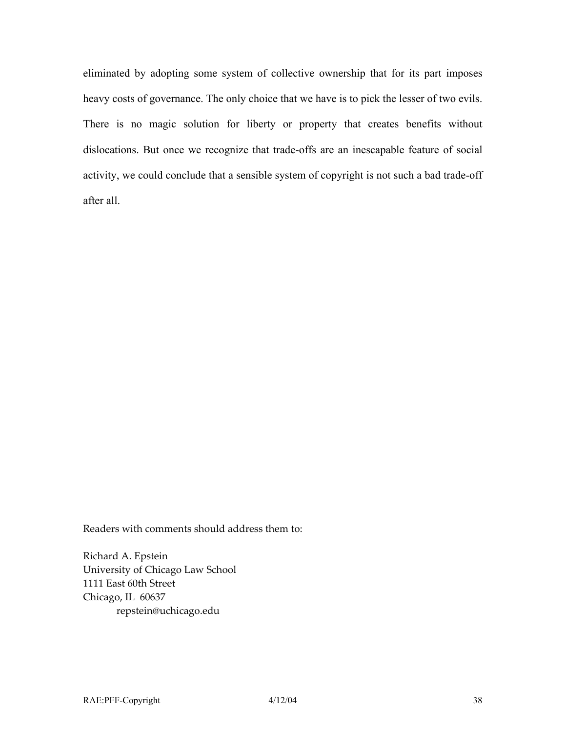eliminated by adopting some system of collective ownership that for its part imposes heavy costs of governance. The only choice that we have is to pick the lesser of two evils. There is no magic solution for liberty or property that creates benefits without dislocations. But once we recognize that trade-offs are an inescapable feature of social activity, we could conclude that a sensible system of copyright is not such a bad trade-off after all.

Readers with comments should address them to:

Richard A. Epstein University of Chicago Law School 1111 East 60th Street Chicago, IL 60637 repstein@uchicago.edu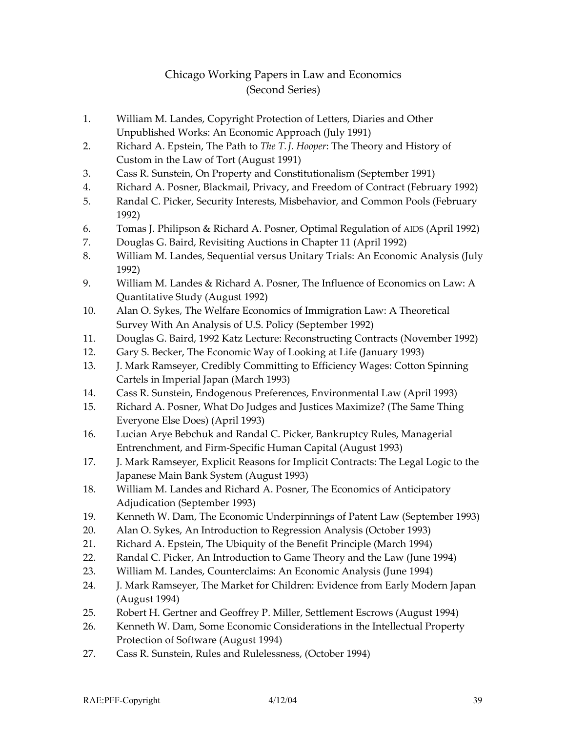## Chicago Working Papers in Law and Economics (Second Series)

- 1. William M. Landes, Copyright Protection of Letters, Diaries and Other Unpublished Works: An Economic Approach (July 1991)
- 2. Richard A. Epstein, The Path to *The T. J. Hooper*: The Theory and History of Custom in the Law of Tort (August 1991)
- 3. Cass R. Sunstein, On Property and Constitutionalism (September 1991)
- 4. Richard A. Posner, Blackmail, Privacy, and Freedom of Contract (February 1992)
- 5. Randal C. Picker, Security Interests, Misbehavior, and Common Pools (February 1992)
- 6. Tomas J. Philipson & Richard A. Posner, Optimal Regulation of AIDS (April 1992)
- 7. Douglas G. Baird, Revisiting Auctions in Chapter 11 (April 1992)
- 8. William M. Landes, Sequential versus Unitary Trials: An Economic Analysis (July 1992)
- 9. William M. Landes & Richard A. Posner, The Influence of Economics on Law: A Quantitative Study (August 1992)
- 10. Alan O. Sykes, The Welfare Economics of Immigration Law: A Theoretical Survey With An Analysis of U.S. Policy (September 1992)
- 11. Douglas G. Baird, 1992 Katz Lecture: Reconstructing Contracts (November 1992)
- 12. Gary S. Becker, The Economic Way of Looking at Life (January 1993)
- 13. J. Mark Ramseyer, Credibly Committing to Efficiency Wages: Cotton Spinning Cartels in Imperial Japan (March 1993)
- 14. Cass R. Sunstein, Endogenous Preferences, Environmental Law (April 1993)
- 15. Richard A. Posner, What Do Judges and Justices Maximize? (The Same Thing Everyone Else Does) (April 1993)
- 16. Lucian Arye Bebchuk and Randal C. Picker, Bankruptcy Rules, Managerial Entrenchment, and Firm-Specific Human Capital (August 1993)
- 17. J. Mark Ramseyer, Explicit Reasons for Implicit Contracts: The Legal Logic to the Japanese Main Bank System (August 1993)
- 18. William M. Landes and Richard A. Posner, The Economics of Anticipatory Adjudication (September 1993)
- 19. Kenneth W. Dam, The Economic Underpinnings of Patent Law (September 1993)
- 20. Alan O. Sykes, An Introduction to Regression Analysis (October 1993)
- 21. Richard A. Epstein, The Ubiquity of the Benefit Principle (March 1994)
- 22. Randal C. Picker, An Introduction to Game Theory and the Law (June 1994)
- 23. William M. Landes, Counterclaims: An Economic Analysis (June 1994)
- 24. J. Mark Ramseyer, The Market for Children: Evidence from Early Modern Japan (August 1994)
- 25. Robert H. Gertner and Geoffrey P. Miller, Settlement Escrows (August 1994)
- 26. Kenneth W. Dam, Some Economic Considerations in the Intellectual Property Protection of Software (August 1994)
- 27. Cass R. Sunstein, Rules and Rulelessness, (October 1994)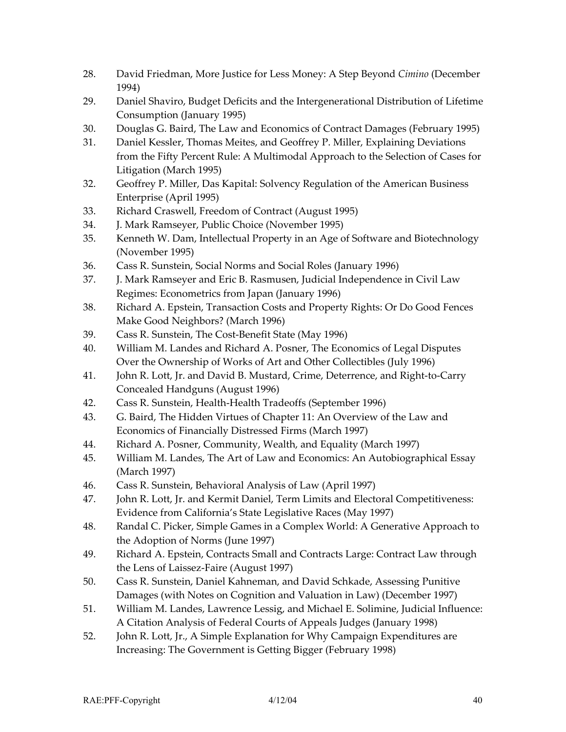- 28. David Friedman, More Justice for Less Money: A Step Beyond *Cimino* (December 1994)
- 29. Daniel Shaviro, Budget Deficits and the Intergenerational Distribution of Lifetime Consumption (January 1995)
- 30. Douglas G. Baird, The Law and Economics of Contract Damages (February 1995)
- 31. Daniel Kessler, Thomas Meites, and Geoffrey P. Miller, Explaining Deviations from the Fifty Percent Rule: A Multimodal Approach to the Selection of Cases for Litigation (March 1995)
- 32. Geoffrey P. Miller, Das Kapital: Solvency Regulation of the American Business Enterprise (April 1995)
- 33. Richard Craswell, Freedom of Contract (August 1995)
- 34. J. Mark Ramseyer, Public Choice (November 1995)
- 35. Kenneth W. Dam, Intellectual Property in an Age of Software and Biotechnology (November 1995)
- 36. Cass R. Sunstein, Social Norms and Social Roles (January 1996)
- 37. J. Mark Ramseyer and Eric B. Rasmusen, Judicial Independence in Civil Law Regimes: Econometrics from Japan (January 1996)
- 38. Richard A. Epstein, Transaction Costs and Property Rights: Or Do Good Fences Make Good Neighbors? (March 1996)
- 39. Cass R. Sunstein, The Cost-Benefit State (May 1996)
- 40. William M. Landes and Richard A. Posner, The Economics of Legal Disputes Over the Ownership of Works of Art and Other Collectibles (July 1996)
- 41. John R. Lott, Jr. and David B. Mustard, Crime, Deterrence, and Right-to-Carry Concealed Handguns (August 1996)
- 42. Cass R. Sunstein, Health-Health Tradeoffs (September 1996)
- 43. G. Baird, The Hidden Virtues of Chapter 11: An Overview of the Law and Economics of Financially Distressed Firms (March 1997)
- 44. Richard A. Posner, Community, Wealth, and Equality (March 1997)
- 45. William M. Landes, The Art of Law and Economics: An Autobiographical Essay (March 1997)
- 46. Cass R. Sunstein, Behavioral Analysis of Law (April 1997)
- 47. John R. Lott, Jr. and Kermit Daniel, Term Limits and Electoral Competitiveness: Evidence from California's State Legislative Races (May 1997)
- 48. Randal C. Picker, Simple Games in a Complex World: A Generative Approach to the Adoption of Norms (June 1997)
- 49. Richard A. Epstein, Contracts Small and Contracts Large: Contract Law through the Lens of Laissez-Faire (August 1997)
- 50. Cass R. Sunstein, Daniel Kahneman, and David Schkade, Assessing Punitive Damages (with Notes on Cognition and Valuation in Law) (December 1997)
- 51. William M. Landes, Lawrence Lessig, and Michael E. Solimine, Judicial Influence: A Citation Analysis of Federal Courts of Appeals Judges (January 1998)
- 52. John R. Lott, Jr., A Simple Explanation for Why Campaign Expenditures are Increasing: The Government is Getting Bigger (February 1998)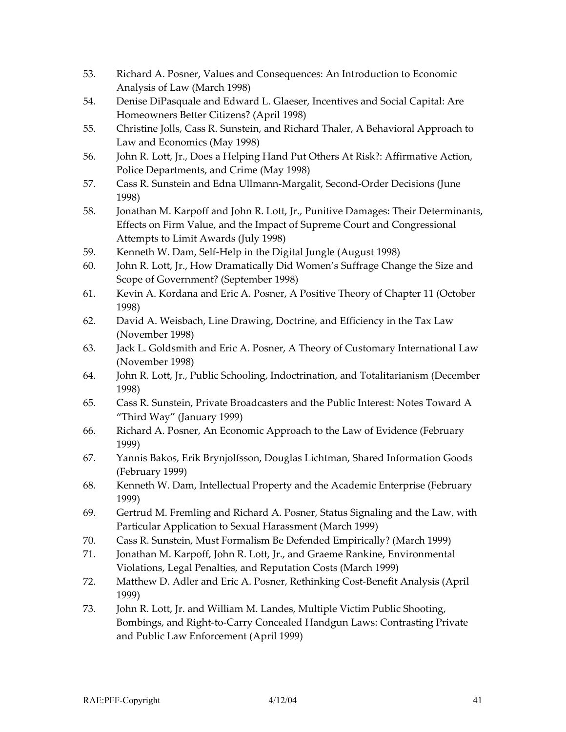- 53. Richard A. Posner, Values and Consequences: An Introduction to Economic Analysis of Law (March 1998)
- 54. Denise DiPasquale and Edward L. Glaeser, Incentives and Social Capital: Are Homeowners Better Citizens? (April 1998)
- 55. Christine Jolls, Cass R. Sunstein, and Richard Thaler, A Behavioral Approach to Law and Economics (May 1998)
- 56. John R. Lott, Jr., Does a Helping Hand Put Others At Risk?: Affirmative Action, Police Departments, and Crime (May 1998)
- 57. Cass R. Sunstein and Edna Ullmann-Margalit, Second-Order Decisions (June 1998)
- 58. Jonathan M. Karpoff and John R. Lott, Jr., Punitive Damages: Their Determinants, Effects on Firm Value, and the Impact of Supreme Court and Congressional Attempts to Limit Awards (July 1998)
- 59. Kenneth W. Dam, Self-Help in the Digital Jungle (August 1998)
- 60. John R. Lott, Jr., How Dramatically Did Women's Suffrage Change the Size and Scope of Government? (September 1998)
- 61. Kevin A. Kordana and Eric A. Posner, A Positive Theory of Chapter 11 (October 1998)
- 62. David A. Weisbach, Line Drawing, Doctrine, and Efficiency in the Tax Law (November 1998)
- 63. Jack L. Goldsmith and Eric A. Posner, A Theory of Customary International Law (November 1998)
- 64. John R. Lott, Jr., Public Schooling, Indoctrination, and Totalitarianism (December 1998)
- 65. Cass R. Sunstein, Private Broadcasters and the Public Interest: Notes Toward A "Third Way" (January 1999)
- 66. Richard A. Posner, An Economic Approach to the Law of Evidence (February 1999)
- 67. Yannis Bakos, Erik Brynjolfsson, Douglas Lichtman, Shared Information Goods (February 1999)
- 68. Kenneth W. Dam, Intellectual Property and the Academic Enterprise (February 1999)
- 69. Gertrud M. Fremling and Richard A. Posner, Status Signaling and the Law, with Particular Application to Sexual Harassment (March 1999)
- 70. Cass R. Sunstein, Must Formalism Be Defended Empirically? (March 1999)
- 71. Jonathan M. Karpoff, John R. Lott, Jr., and Graeme Rankine, Environmental Violations, Legal Penalties, and Reputation Costs (March 1999)
- 72. Matthew D. Adler and Eric A. Posner, Rethinking Cost-Benefit Analysis (April 1999)
- 73. John R. Lott, Jr. and William M. Landes, Multiple Victim Public Shooting, Bombings, and Right-to-Carry Concealed Handgun Laws: Contrasting Private and Public Law Enforcement (April 1999)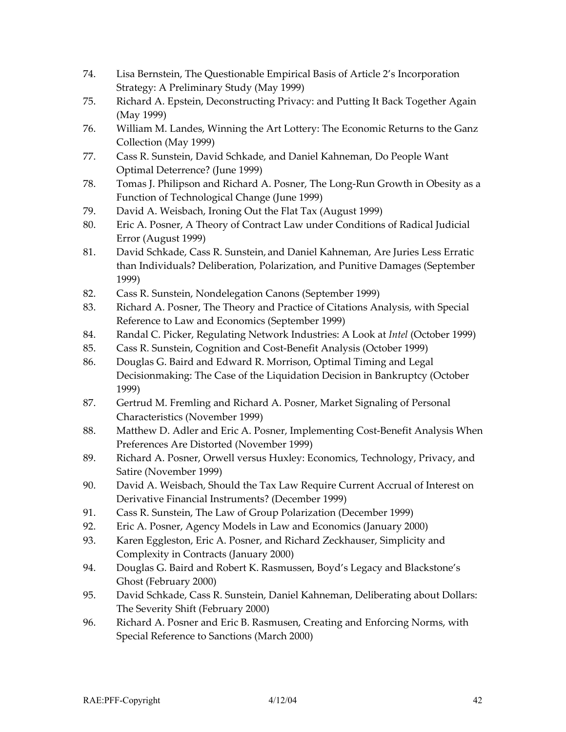- 74. Lisa Bernstein, The Questionable Empirical Basis of Article 2's Incorporation Strategy: A Preliminary Study (May 1999)
- 75. Richard A. Epstein, Deconstructing Privacy: and Putting It Back Together Again (May 1999)
- 76. William M. Landes, Winning the Art Lottery: The Economic Returns to the Ganz Collection (May 1999)
- 77. Cass R. Sunstein, David Schkade, and Daniel Kahneman, Do People Want Optimal Deterrence? (June 1999)
- 78. Tomas J. Philipson and Richard A. Posner, The Long-Run Growth in Obesity as a Function of Technological Change (June 1999)
- 79. David A. Weisbach, Ironing Out the Flat Tax (August 1999)
- 80. Eric A. Posner, A Theory of Contract Law under Conditions of Radical Judicial Error (August 1999)
- 81. David Schkade, Cass R. Sunstein, and Daniel Kahneman, Are Juries Less Erratic than Individuals? Deliberation, Polarization, and Punitive Damages (September 1999)
- 82. Cass R. Sunstein, Nondelegation Canons (September 1999)
- 83. Richard A. Posner, The Theory and Practice of Citations Analysis, with Special Reference to Law and Economics (September 1999)
- 84. Randal C. Picker, Regulating Network Industries: A Look at *Intel* (October 1999)
- 85. Cass R. Sunstein, Cognition and Cost-Benefit Analysis (October 1999)
- 86. Douglas G. Baird and Edward R. Morrison, Optimal Timing and Legal Decisionmaking: The Case of the Liquidation Decision in Bankruptcy (October 1999)
- 87. Gertrud M. Fremling and Richard A. Posner, Market Signaling of Personal Characteristics (November 1999)
- 88. Matthew D. Adler and Eric A. Posner, Implementing Cost-Benefit Analysis When Preferences Are Distorted (November 1999)
- 89. Richard A. Posner, Orwell versus Huxley: Economics, Technology, Privacy, and Satire (November 1999)
- 90. David A. Weisbach, Should the Tax Law Require Current Accrual of Interest on Derivative Financial Instruments? (December 1999)
- 91. Cass R. Sunstein, The Law of Group Polarization (December 1999)
- 92. Eric A. Posner, Agency Models in Law and Economics (January 2000)
- 93. Karen Eggleston, Eric A. Posner, and Richard Zeckhauser, Simplicity and Complexity in Contracts (January 2000)
- 94. Douglas G. Baird and Robert K. Rasmussen, Boyd's Legacy and Blackstone's Ghost (February 2000)
- 95. David Schkade, Cass R. Sunstein, Daniel Kahneman, Deliberating about Dollars: The Severity Shift (February 2000)
- 96. Richard A. Posner and Eric B. Rasmusen, Creating and Enforcing Norms, with Special Reference to Sanctions (March 2000)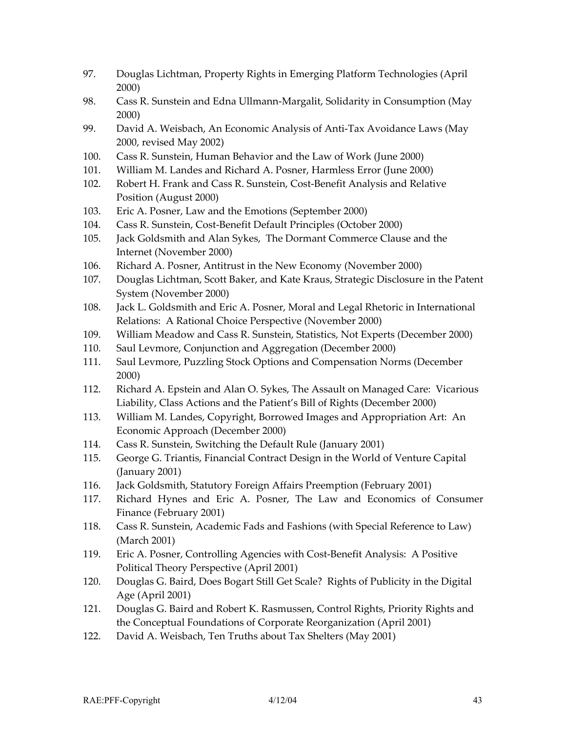- 97. Douglas Lichtman, Property Rights in Emerging Platform Technologies (April 2000)
- 98. Cass R. Sunstein and Edna Ullmann-Margalit, Solidarity in Consumption (May 2000)
- 99. David A. Weisbach, An Economic Analysis of Anti-Tax Avoidance Laws (May 2000, revised May 2002)
- 100. Cass R. Sunstein, Human Behavior and the Law of Work (June 2000)
- 101. William M. Landes and Richard A. Posner, Harmless Error (June 2000)
- 102. Robert H. Frank and Cass R. Sunstein, Cost-Benefit Analysis and Relative Position (August 2000)
- 103. Eric A. Posner, Law and the Emotions (September 2000)
- 104. Cass R. Sunstein, Cost-Benefit Default Principles (October 2000)
- 105. Jack Goldsmith and Alan Sykes, The Dormant Commerce Clause and the Internet (November 2000)
- 106. Richard A. Posner, Antitrust in the New Economy (November 2000)
- 107. Douglas Lichtman, Scott Baker, and Kate Kraus, Strategic Disclosure in the Patent System (November 2000)
- 108. Jack L. Goldsmith and Eric A. Posner, Moral and Legal Rhetoric in International Relations: A Rational Choice Perspective (November 2000)
- 109. William Meadow and Cass R. Sunstein, Statistics, Not Experts (December 2000)
- 110. Saul Levmore, Conjunction and Aggregation (December 2000)
- 111. Saul Levmore, Puzzling Stock Options and Compensation Norms (December 2000)
- 112. Richard A. Epstein and Alan O. Sykes, The Assault on Managed Care: Vicarious Liability, Class Actions and the Patient's Bill of Rights (December 2000)
- 113. William M. Landes, Copyright, Borrowed Images and Appropriation Art: An Economic Approach (December 2000)
- 114. Cass R. Sunstein, Switching the Default Rule (January 2001)
- 115. George G. Triantis, Financial Contract Design in the World of Venture Capital (January 2001)
- 116. Jack Goldsmith, Statutory Foreign Affairs Preemption (February 2001)
- 117. Richard Hynes and Eric A. Posner, The Law and Economics of Consumer Finance (February 2001)
- 118. Cass R. Sunstein, Academic Fads and Fashions (with Special Reference to Law) (March 2001)
- 119. Eric A. Posner, Controlling Agencies with Cost-Benefit Analysis: A Positive Political Theory Perspective (April 2001)
- 120. Douglas G. Baird, Does Bogart Still Get Scale? Rights of Publicity in the Digital Age (April 2001)
- 121. Douglas G. Baird and Robert K. Rasmussen, Control Rights, Priority Rights and the Conceptual Foundations of Corporate Reorganization (April 2001)
- 122. David A. Weisbach, Ten Truths about Tax Shelters (May 2001)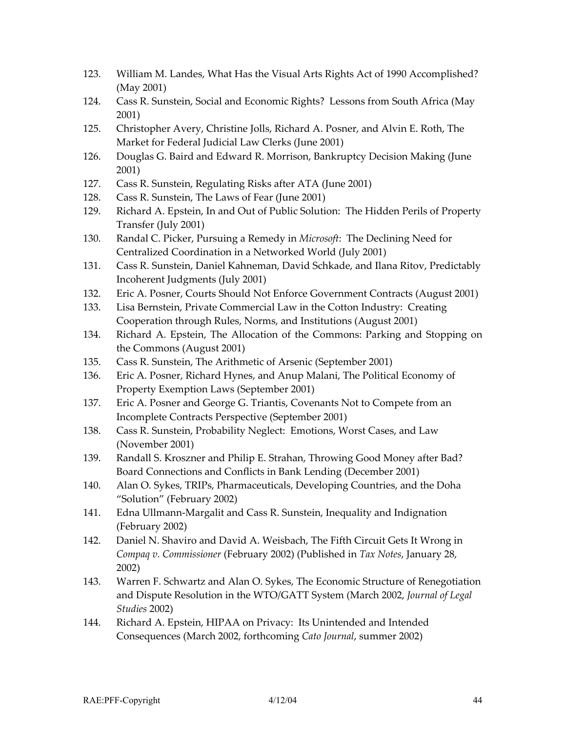- 123. William M. Landes, What Has the Visual Arts Rights Act of 1990 Accomplished? (May 2001)
- 124. Cass R. Sunstein, Social and Economic Rights? Lessons from South Africa (May 2001)
- 125. Christopher Avery, Christine Jolls, Richard A. Posner, and Alvin E. Roth, The Market for Federal Judicial Law Clerks (June 2001)
- 126. Douglas G. Baird and Edward R. Morrison, Bankruptcy Decision Making (June 2001)
- 127. Cass R. Sunstein, Regulating Risks after ATA (June 2001)
- 128. Cass R. Sunstein, The Laws of Fear (June 2001)
- 129. Richard A. Epstein, In and Out of Public Solution: The Hidden Perils of Property Transfer (July 2001)
- 130. Randal C. Picker, Pursuing a Remedy in *Microsoft*: The Declining Need for Centralized Coordination in a Networked World (July 2001)
- 131. Cass R. Sunstein, Daniel Kahneman, David Schkade, and Ilana Ritov, Predictably Incoherent Judgments (July 2001)
- 132. Eric A. Posner, Courts Should Not Enforce Government Contracts (August 2001)
- 133. Lisa Bernstein, Private Commercial Law in the Cotton Industry: Creating Cooperation through Rules, Norms, and Institutions (August 2001)
- 134. Richard A. Epstein, The Allocation of the Commons: Parking and Stopping on the Commons (August 2001)
- 135. Cass R. Sunstein, The Arithmetic of Arsenic (September 2001)
- 136. Eric A. Posner, Richard Hynes, and Anup Malani, The Political Economy of Property Exemption Laws (September 2001)
- 137. Eric A. Posner and George G. Triantis, Covenants Not to Compete from an Incomplete Contracts Perspective (September 2001)
- 138. Cass R. Sunstein, Probability Neglect: Emotions, Worst Cases, and Law (November 2001)
- 139. Randall S. Kroszner and Philip E. Strahan, Throwing Good Money after Bad? Board Connections and Conflicts in Bank Lending (December 2001)
- 140. Alan O. Sykes, TRIPs, Pharmaceuticals, Developing Countries, and the Doha "Solution" (February 2002)
- 141. Edna Ullmann-Margalit and Cass R. Sunstein, Inequality and Indignation (February 2002)
- 142. Daniel N. Shaviro and David A. Weisbach, The Fifth Circuit Gets It Wrong in *Compaq v. Commissioner* (February 2002) (Published in *Tax Notes*, January 28, 2002)
- 143. Warren F. Schwartz and Alan O. Sykes, The Economic Structure of Renegotiation and Dispute Resolution in the WTO/GATT System (March 2002, *Journal of Legal Studies* 2002)
- 144. Richard A. Epstein, HIPAA on Privacy: Its Unintended and Intended Consequences (March 2002, forthcoming *Cato Journal*, summer 2002)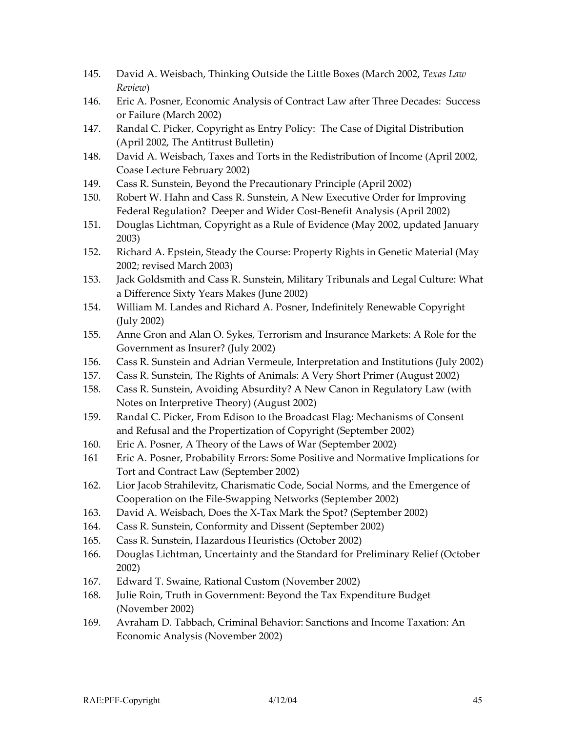- 145. David A. Weisbach, Thinking Outside the Little Boxes (March 2002, *Texas Law Review*)
- 146. Eric A. Posner, Economic Analysis of Contract Law after Three Decades: Success or Failure (March 2002)
- 147. Randal C. Picker, Copyright as Entry Policy: The Case of Digital Distribution (April 2002, The Antitrust Bulletin)
- 148. David A. Weisbach, Taxes and Torts in the Redistribution of Income (April 2002, Coase Lecture February 2002)
- 149. Cass R. Sunstein, Beyond the Precautionary Principle (April 2002)
- 150. Robert W. Hahn and Cass R. Sunstein, A New Executive Order for Improving Federal Regulation? Deeper and Wider Cost-Benefit Analysis (April 2002)
- 151. Douglas Lichtman, Copyright as a Rule of Evidence (May 2002, updated January 2003)
- 152. Richard A. Epstein, Steady the Course: Property Rights in Genetic Material (May 2002; revised March 2003)
- 153. Jack Goldsmith and Cass R. Sunstein, Military Tribunals and Legal Culture: What a Difference Sixty Years Makes (June 2002)
- 154. William M. Landes and Richard A. Posner, Indefinitely Renewable Copyright (July 2002)
- 155. Anne Gron and Alan O. Sykes, Terrorism and Insurance Markets: A Role for the Government as Insurer? (July 2002)
- 156. Cass R. Sunstein and Adrian Vermeule, Interpretation and Institutions (July 2002)
- 157. Cass R. Sunstein, The Rights of Animals: A Very Short Primer (August 2002)
- 158. Cass R. Sunstein, Avoiding Absurdity? A New Canon in Regulatory Law (with Notes on Interpretive Theory) (August 2002)
- 159. Randal C. Picker, From Edison to the Broadcast Flag: Mechanisms of Consent and Refusal and the Propertization of Copyright (September 2002)
- 160. Eric A. Posner, A Theory of the Laws of War (September 2002)
- 161 Eric A. Posner, Probability Errors: Some Positive and Normative Implications for Tort and Contract Law (September 2002)
- 162. Lior Jacob Strahilevitz, Charismatic Code, Social Norms, and the Emergence of Cooperation on the File-Swapping Networks (September 2002)
- 163. David A. Weisbach, Does the X-Tax Mark the Spot? (September 2002)
- 164. Cass R. Sunstein, Conformity and Dissent (September 2002)
- 165. Cass R. Sunstein, Hazardous Heuristics (October 2002)
- 166. Douglas Lichtman, Uncertainty and the Standard for Preliminary Relief (October 2002)
- 167. Edward T. Swaine, Rational Custom (November 2002)
- 168. Julie Roin, Truth in Government: Beyond the Tax Expenditure Budget (November 2002)
- 169. Avraham D. Tabbach, Criminal Behavior: Sanctions and Income Taxation: An Economic Analysis (November 2002)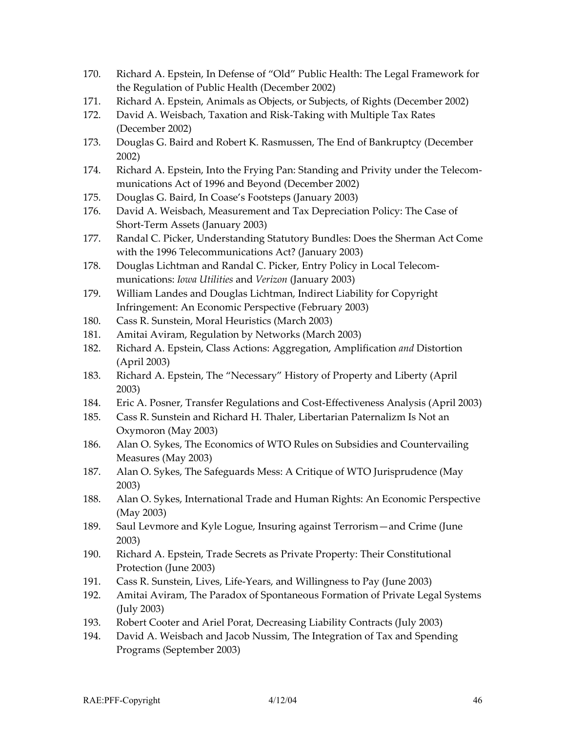- 170. Richard A. Epstein, In Defense of "Old" Public Health: The Legal Framework for the Regulation of Public Health (December 2002)
- 171. Richard A. Epstein, Animals as Objects, or Subjects, of Rights (December 2002)
- 172. David A. Weisbach, Taxation and Risk-Taking with Multiple Tax Rates (December 2002)
- 173. Douglas G. Baird and Robert K. Rasmussen, The End of Bankruptcy (December 2002)
- 174. Richard A. Epstein, Into the Frying Pan: Standing and Privity under the Telecommunications Act of 1996 and Beyond (December 2002)
- 175. Douglas G. Baird, In Coase's Footsteps (January 2003)
- 176. David A. Weisbach, Measurement and Tax Depreciation Policy: The Case of Short-Term Assets (January 2003)
- 177. Randal C. Picker, Understanding Statutory Bundles: Does the Sherman Act Come with the 1996 Telecommunications Act? (January 2003)
- 178. Douglas Lichtman and Randal C. Picker, Entry Policy in Local Telecommunications: *Iowa Utilities* and *Verizon* (January 2003)
- 179. William Landes and Douglas Lichtman, Indirect Liability for Copyright Infringement: An Economic Perspective (February 2003)
- 180. Cass R. Sunstein, Moral Heuristics (March 2003)
- 181. Amitai Aviram, Regulation by Networks (March 2003)
- 182. Richard A. Epstein, Class Actions: Aggregation, Amplification *and* Distortion (April 2003)
- 183. Richard A. Epstein, The "Necessary" History of Property and Liberty (April 2003)
- 184. Eric A. Posner, Transfer Regulations and Cost-Effectiveness Analysis (April 2003)
- 185. Cass R. Sunstein and Richard H. Thaler, Libertarian Paternalizm Is Not an Oxymoron (May 2003)
- 186. Alan O. Sykes, The Economics of WTO Rules on Subsidies and Countervailing Measures (May 2003)
- 187. Alan O. Sykes, The Safeguards Mess: A Critique of WTO Jurisprudence (May 2003)
- 188. Alan O. Sykes, International Trade and Human Rights: An Economic Perspective (May 2003)
- 189. Saul Levmore and Kyle Logue, Insuring against Terrorism—and Crime (June 2003)
- 190. Richard A. Epstein, Trade Secrets as Private Property: Their Constitutional Protection (June 2003)
- 191. Cass R. Sunstein, Lives, Life-Years, and Willingness to Pay (June 2003)
- 192. Amitai Aviram, The Paradox of Spontaneous Formation of Private Legal Systems (July 2003)
- 193. Robert Cooter and Ariel Porat, Decreasing Liability Contracts (July 2003)
- 194. David A. Weisbach and Jacob Nussim, The Integration of Tax and Spending Programs (September 2003)